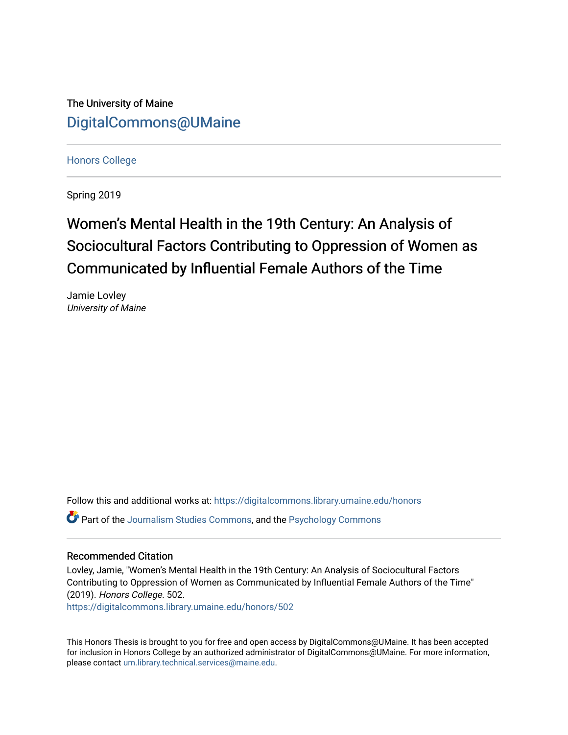The University of Maine [DigitalCommons@UMaine](https://digitalcommons.library.umaine.edu/)

[Honors College](https://digitalcommons.library.umaine.edu/honors)

Spring 2019

# Women's Mental Health in the 19th Century: An Analysis of Sociocultural Factors Contributing to Oppression of Women as Communicated by Influential Female Authors of the Time

Jamie Lovley University of Maine

Follow this and additional works at: [https://digitalcommons.library.umaine.edu/honors](https://digitalcommons.library.umaine.edu/honors?utm_source=digitalcommons.library.umaine.edu%2Fhonors%2F502&utm_medium=PDF&utm_campaign=PDFCoverPages)  Part of the [Journalism Studies Commons](http://network.bepress.com/hgg/discipline/333?utm_source=digitalcommons.library.umaine.edu%2Fhonors%2F502&utm_medium=PDF&utm_campaign=PDFCoverPages), and the [Psychology Commons](http://network.bepress.com/hgg/discipline/404?utm_source=digitalcommons.library.umaine.edu%2Fhonors%2F502&utm_medium=PDF&utm_campaign=PDFCoverPages)

#### Recommended Citation

Lovley, Jamie, "Women's Mental Health in the 19th Century: An Analysis of Sociocultural Factors Contributing to Oppression of Women as Communicated by Influential Female Authors of the Time" (2019). Honors College. 502.

[https://digitalcommons.library.umaine.edu/honors/502](https://digitalcommons.library.umaine.edu/honors/502?utm_source=digitalcommons.library.umaine.edu%2Fhonors%2F502&utm_medium=PDF&utm_campaign=PDFCoverPages) 

This Honors Thesis is brought to you for free and open access by DigitalCommons@UMaine. It has been accepted for inclusion in Honors College by an authorized administrator of DigitalCommons@UMaine. For more information, please contact [um.library.technical.services@maine.edu.](mailto:um.library.technical.services@maine.edu)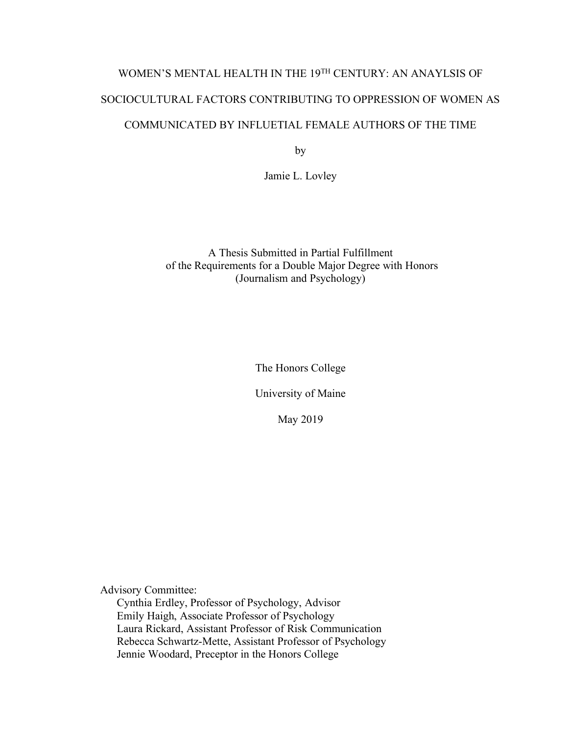# WOMEN'S MENTAL HEALTH IN THE 19TH CENTURY: AN ANAYLSIS OF SOCIOCULTURAL FACTORS CONTRIBUTING TO OPPRESSION OF WOMEN AS COMMUNICATED BY INFLUETIAL FEMALE AUTHORS OF THE TIME

by

Jamie L. Lovley

A Thesis Submitted in Partial Fulfillment of the Requirements for a Double Major Degree with Honors (Journalism and Psychology)

The Honors College

University of Maine

May 2019

Advisory Committee:

Cynthia Erdley, Professor of Psychology, Advisor Emily Haigh, Associate Professor of Psychology Laura Rickard, Assistant Professor of Risk Communication Rebecca Schwartz-Mette, Assistant Professor of Psychology Jennie Woodard, Preceptor in the Honors College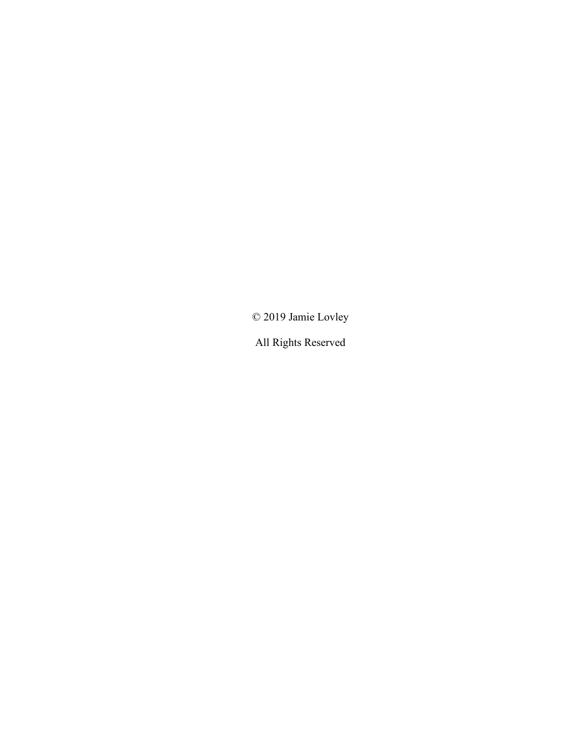© 2019 Jamie Lovley

All Rights Reserved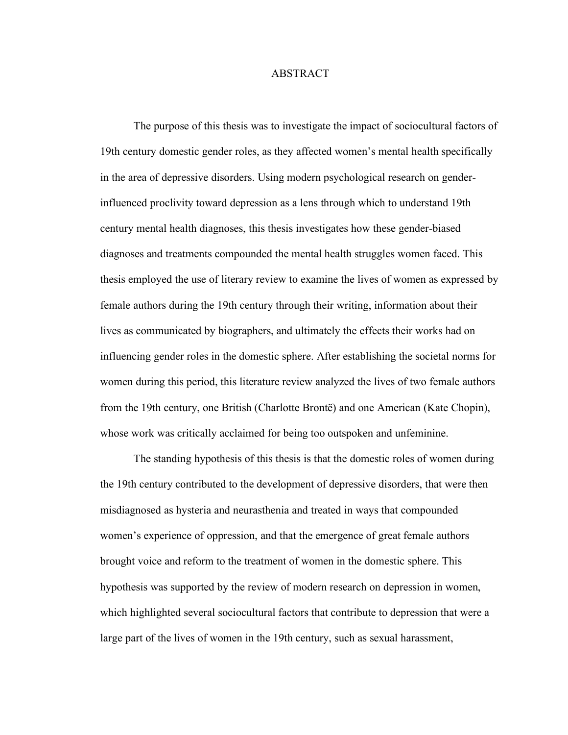#### ABSTRACT

The purpose of this thesis was to investigate the impact of sociocultural factors of 19th century domestic gender roles, as they affected women's mental health specifically in the area of depressive disorders. Using modern psychological research on genderinfluenced proclivity toward depression as a lens through which to understand 19th century mental health diagnoses, this thesis investigates how these gender-biased diagnoses and treatments compounded the mental health struggles women faced. This thesis employed the use of literary review to examine the lives of women as expressed by female authors during the 19th century through their writing, information about their lives as communicated by biographers, and ultimately the effects their works had on influencing gender roles in the domestic sphere. After establishing the societal norms for women during this period, this literature review analyzed the lives of two female authors from the 19th century, one British (Charlotte Brontë) and one American (Kate Chopin), whose work was critically acclaimed for being too outspoken and unfeminine.

The standing hypothesis of this thesis is that the domestic roles of women during the 19th century contributed to the development of depressive disorders, that were then misdiagnosed as hysteria and neurasthenia and treated in ways that compounded women's experience of oppression, and that the emergence of great female authors brought voice and reform to the treatment of women in the domestic sphere. This hypothesis was supported by the review of modern research on depression in women, which highlighted several sociocultural factors that contribute to depression that were a large part of the lives of women in the 19th century, such as sexual harassment,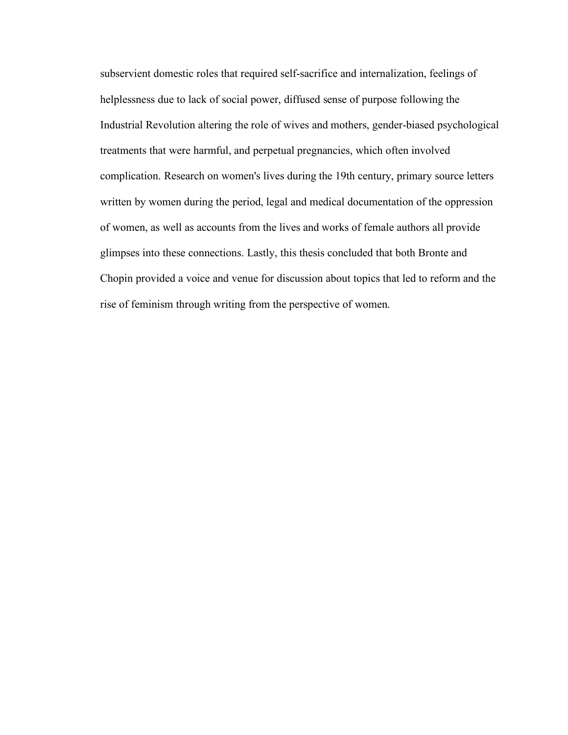subservient domestic roles that required self-sacrifice and internalization, feelings of helplessness due to lack of social power, diffused sense of purpose following the Industrial Revolution altering the role of wives and mothers, gender-biased psychological treatments that were harmful, and perpetual pregnancies, which often involved complication. Research on women's lives during the 19th century, primary source letters written by women during the period, legal and medical documentation of the oppression of women, as well as accounts from the lives and works of female authors all provide glimpses into these connections. Lastly, this thesis concluded that both Bronte and Chopin provided a voice and venue for discussion about topics that led to reform and the rise of feminism through writing from the perspective of women.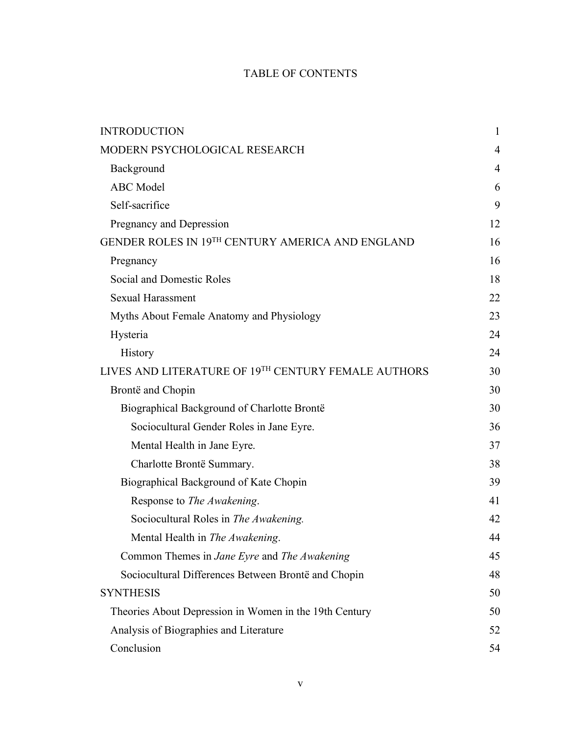# TABLE OF CONTENTS

| <b>INTRODUCTION</b>                                          | $\mathbf{1}$   |  |
|--------------------------------------------------------------|----------------|--|
| MODERN PSYCHOLOGICAL RESEARCH                                | $\overline{4}$ |  |
| Background                                                   | $\overline{4}$ |  |
| <b>ABC</b> Model                                             | 6              |  |
| Self-sacrifice                                               | 9              |  |
| Pregnancy and Depression                                     | 12             |  |
| GENDER ROLES IN 19 <sup>TH</sup> CENTURY AMERICA AND ENGLAND | 16             |  |
| Pregnancy                                                    | 16             |  |
| Social and Domestic Roles                                    |                |  |
| <b>Sexual Harassment</b>                                     | 22             |  |
| Myths About Female Anatomy and Physiology                    | 23             |  |
| Hysteria                                                     | 24             |  |
| History                                                      | 24             |  |
| LIVES AND LITERATURE OF 19TH CENTURY FEMALE AUTHORS          | 30             |  |
| Brontë and Chopin                                            | 30             |  |
| Biographical Background of Charlotte Brontë                  | 30             |  |
| Sociocultural Gender Roles in Jane Eyre.                     | 36             |  |
| Mental Health in Jane Eyre.                                  | 37             |  |
| Charlotte Brontë Summary.                                    |                |  |
| Biographical Background of Kate Chopin                       |                |  |
| Response to The Awakening.                                   |                |  |
| Sociocultural Roles in The Awakening.                        | 42             |  |
| Mental Health in The Awakening.                              | 44             |  |
| Common Themes in <i>Jane Eyre</i> and <i>The Awakening</i>   | 45             |  |
| Sociocultural Differences Between Brontë and Chopin          | 48             |  |
| <b>SYNTHESIS</b>                                             | 50             |  |
| Theories About Depression in Women in the 19th Century       | 50             |  |
| Analysis of Biographies and Literature                       |                |  |
| Conclusion                                                   |                |  |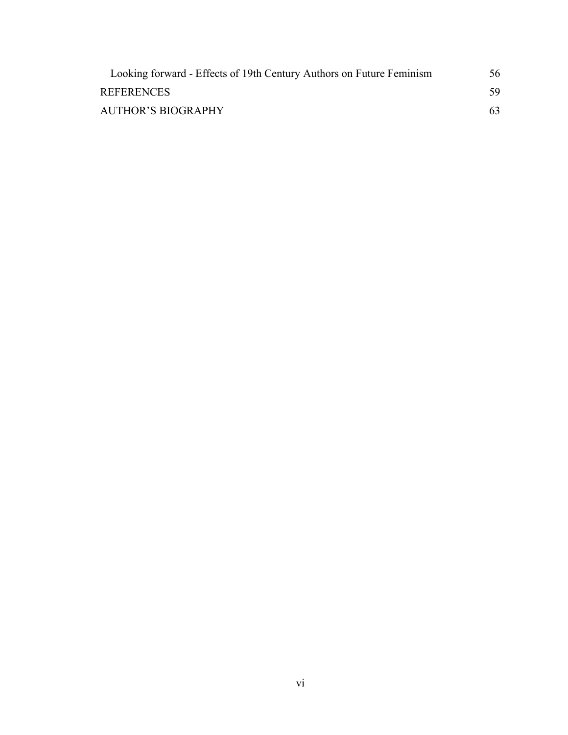| Looking forward - Effects of 19th Century Authors on Future Feminism | 56 |
|----------------------------------------------------------------------|----|
| <b>REFERENCES</b>                                                    | 59 |
| <b>AUTHOR'S BIOGRAPHY</b>                                            | 63 |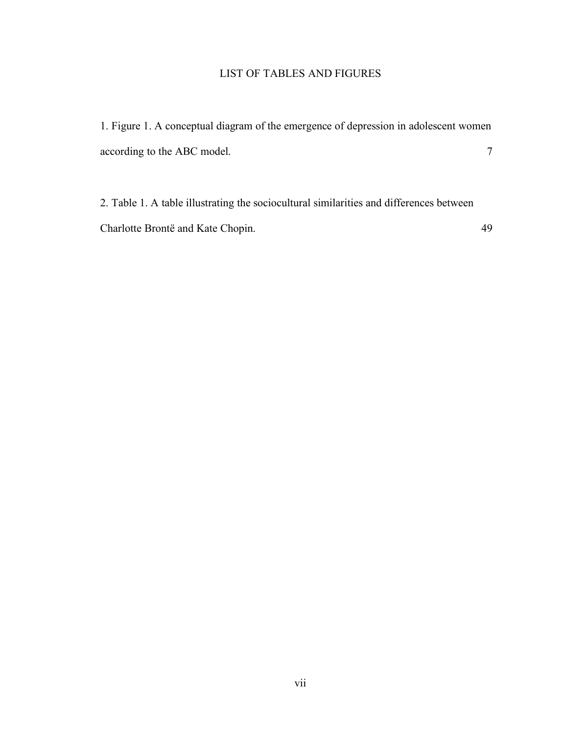# LIST OF TABLES AND FIGURES

1. Figure 1. A conceptual diagram of the emergence of depression in adolescent women according to the ABC model. 7

2. Table 1. A table illustrating the sociocultural similarities and differences between Charlotte Brontë and Kate Chopin. 49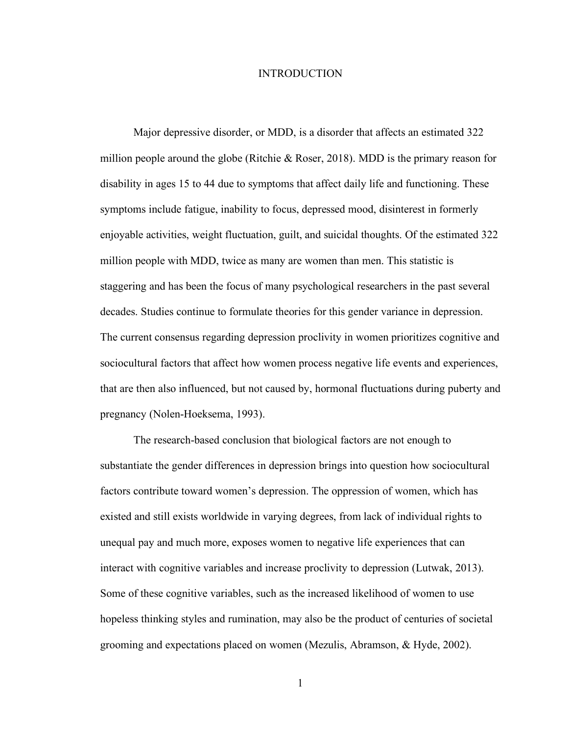#### INTRODUCTION

Major depressive disorder, or MDD, is a disorder that affects an estimated 322 million people around the globe (Ritchie  $\&$  Roser, 2018). MDD is the primary reason for disability in ages 15 to 44 due to symptoms that affect daily life and functioning. These symptoms include fatigue, inability to focus, depressed mood, disinterest in formerly enjoyable activities, weight fluctuation, guilt, and suicidal thoughts. Of the estimated 322 million people with MDD, twice as many are women than men. This statistic is staggering and has been the focus of many psychological researchers in the past several decades. Studies continue to formulate theories for this gender variance in depression. The current consensus regarding depression proclivity in women prioritizes cognitive and sociocultural factors that affect how women process negative life events and experiences, that are then also influenced, but not caused by, hormonal fluctuations during puberty and pregnancy (Nolen-Hoeksema, 1993).

The research-based conclusion that biological factors are not enough to substantiate the gender differences in depression brings into question how sociocultural factors contribute toward women's depression. The oppression of women, which has existed and still exists worldwide in varying degrees, from lack of individual rights to unequal pay and much more, exposes women to negative life experiences that can interact with cognitive variables and increase proclivity to depression (Lutwak, 2013). Some of these cognitive variables, such as the increased likelihood of women to use hopeless thinking styles and rumination, may also be the product of centuries of societal grooming and expectations placed on women (Mezulis, Abramson, & Hyde, 2002).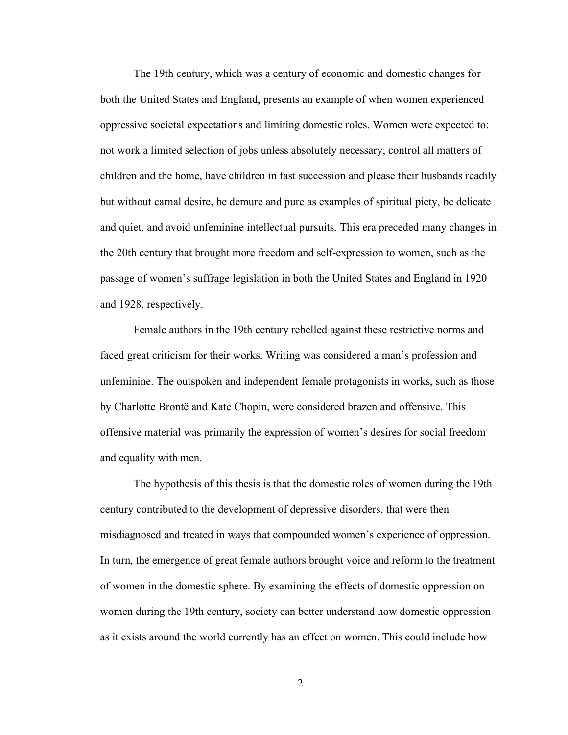The 19th century, which was a century of economic and domestic changes for both the United States and England, presents an example of when women experienced oppressive societal expectations and limiting domestic roles. Women were expected to: not work a limited selection of jobs unless absolutely necessary, control all matters of children and the home, have children in fast succession and please their husbands readily but without carnal desire, be demure and pure as examples of spiritual piety, be delicate and quiet, and avoid unfeminine intellectual pursuits. This era preceded many changes in the 20th century that brought more freedom and self-expression to women, such as the passage of women's suffrage legislation in both the United States and England in 1920 and 1928, respectively.

Female authors in the 19th century rebelled against these restrictive norms and faced great criticism for their works. Writing was considered a man's profession and unfeminine. The outspoken and independent female protagonists in works, such as those by Charlotte Brontë and Kate Chopin, were considered brazen and offensive. This offensive material was primarily the expression of women's desires for social freedom and equality with men.

The hypothesis of this thesis is that the domestic roles of women during the 19th century contributed to the development of depressive disorders, that were then misdiagnosed and treated in ways that compounded women's experience of oppression. In turn, the emergence of great female authors brought voice and reform to the treatment of women in the domestic sphere. By examining the effects of domestic oppression on women during the 19th century, society can better understand how domestic oppression as it exists around the world currently has an effect on women. This could include how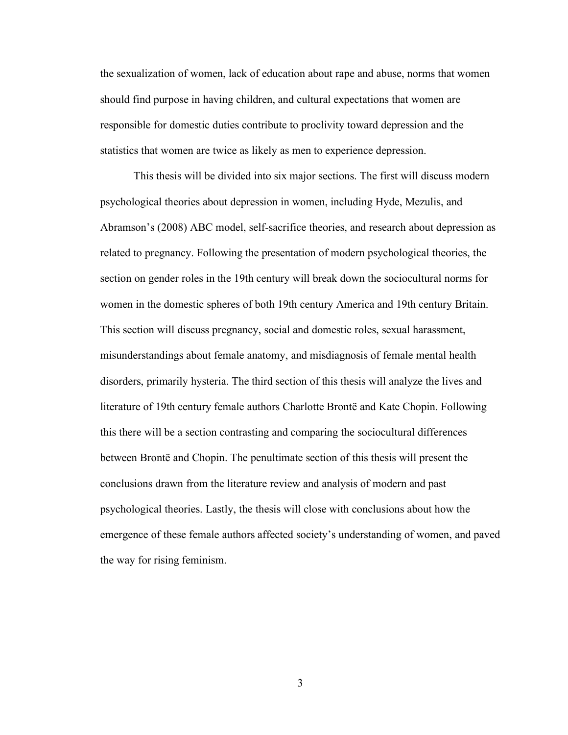the sexualization of women, lack of education about rape and abuse, norms that women should find purpose in having children, and cultural expectations that women are responsible for domestic duties contribute to proclivity toward depression and the statistics that women are twice as likely as men to experience depression.

This thesis will be divided into six major sections. The first will discuss modern psychological theories about depression in women, including Hyde, Mezulis, and Abramson's (2008) ABC model, self-sacrifice theories, and research about depression as related to pregnancy. Following the presentation of modern psychological theories, the section on gender roles in the 19th century will break down the sociocultural norms for women in the domestic spheres of both 19th century America and 19th century Britain. This section will discuss pregnancy, social and domestic roles, sexual harassment, misunderstandings about female anatomy, and misdiagnosis of female mental health disorders, primarily hysteria. The third section of this thesis will analyze the lives and literature of 19th century female authors Charlotte Brontë and Kate Chopin. Following this there will be a section contrasting and comparing the sociocultural differences between Brontë and Chopin. The penultimate section of this thesis will present the conclusions drawn from the literature review and analysis of modern and past psychological theories. Lastly, the thesis will close with conclusions about how the emergence of these female authors affected society's understanding of women, and paved the way for rising feminism.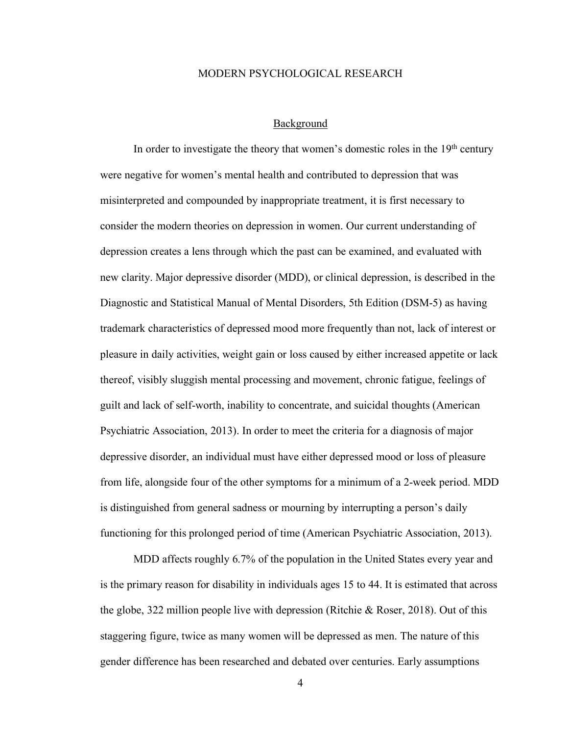#### MODERN PSYCHOLOGICAL RESEARCH

#### Background

In order to investigate the theory that women's domestic roles in the  $19<sup>th</sup>$  century were negative for women's mental health and contributed to depression that was misinterpreted and compounded by inappropriate treatment, it is first necessary to consider the modern theories on depression in women. Our current understanding of depression creates a lens through which the past can be examined, and evaluated with new clarity. Major depressive disorder (MDD), or clinical depression, is described in the Diagnostic and Statistical Manual of Mental Disorders, 5th Edition (DSM-5) as having trademark characteristics of depressed mood more frequently than not, lack of interest or pleasure in daily activities, weight gain or loss caused by either increased appetite or lack thereof, visibly sluggish mental processing and movement, chronic fatigue, feelings of guilt and lack of self-worth, inability to concentrate, and suicidal thoughts (American Psychiatric Association, 2013). In order to meet the criteria for a diagnosis of major depressive disorder, an individual must have either depressed mood or loss of pleasure from life, alongside four of the other symptoms for a minimum of a 2-week period. MDD is distinguished from general sadness or mourning by interrupting a person's daily functioning for this prolonged period of time (American Psychiatric Association, 2013).

MDD affects roughly 6.7% of the population in the United States every year and is the primary reason for disability in individuals ages 15 to 44. It is estimated that across the globe, 322 million people live with depression (Ritchie & Roser, 2018). Out of this staggering figure, twice as many women will be depressed as men. The nature of this gender difference has been researched and debated over centuries. Early assumptions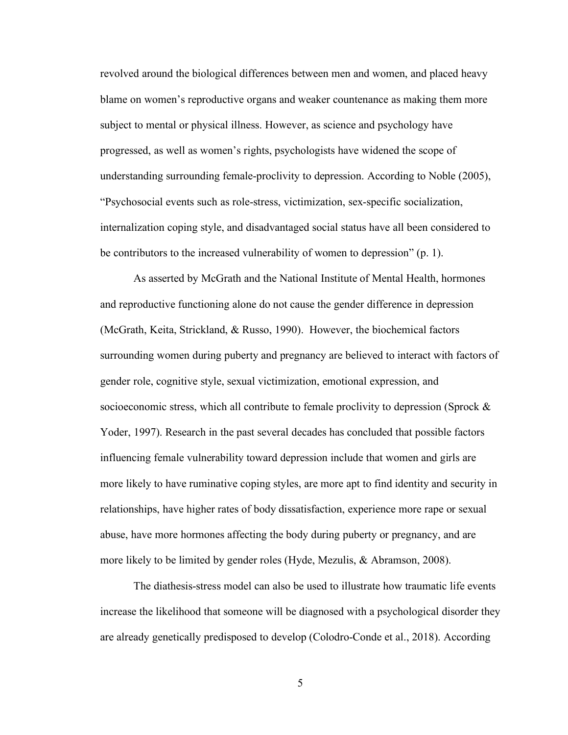revolved around the biological differences between men and women, and placed heavy blame on women's reproductive organs and weaker countenance as making them more subject to mental or physical illness. However, as science and psychology have progressed, as well as women's rights, psychologists have widened the scope of understanding surrounding female-proclivity to depression. According to Noble (2005), "Psychosocial events such as role-stress, victimization, sex-specific socialization, internalization coping style, and disadvantaged social status have all been considered to be contributors to the increased vulnerability of women to depression" (p. 1).

As asserted by McGrath and the National Institute of Mental Health, hormones and reproductive functioning alone do not cause the gender difference in depression (McGrath, Keita, Strickland, & Russo, 1990). However, the biochemical factors surrounding women during puberty and pregnancy are believed to interact with factors of gender role, cognitive style, sexual victimization, emotional expression, and socioeconomic stress, which all contribute to female proclivity to depression (Sprock  $\&$ Yoder, 1997). Research in the past several decades has concluded that possible factors influencing female vulnerability toward depression include that women and girls are more likely to have ruminative coping styles, are more apt to find identity and security in relationships, have higher rates of body dissatisfaction, experience more rape or sexual abuse, have more hormones affecting the body during puberty or pregnancy, and are more likely to be limited by gender roles (Hyde, Mezulis, & Abramson, 2008).

The diathesis-stress model can also be used to illustrate how traumatic life events increase the likelihood that someone will be diagnosed with a psychological disorder they are already genetically predisposed to develop (Colodro-Conde et al., 2018). According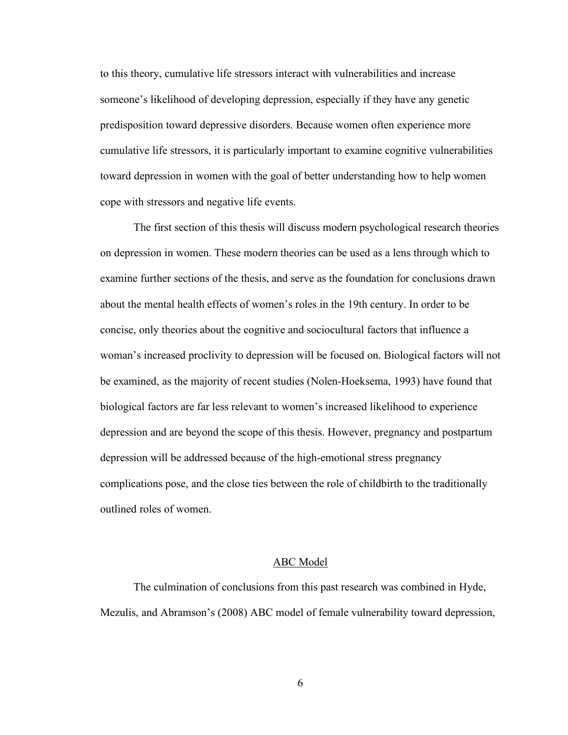to this theory, cumulative life stressors interact with vulnerabilities and increase someone's likelihood of developing depression, especially if they have any genetic predisposition toward depressive disorders. Because women often experience more cumulative life stressors, it is particularly important to examine cognitive vulnerabilities toward depression in women with the goal of better understanding how to help women cope with stressors and negative life events.

The first section of this thesis will discuss modern psychological research theories on depression in women. These modern theories can be used as a lens through which to examine further sections of the thesis, and serve as the foundation for conclusions drawn about the mental health effects of women's roles in the 19th century. In order to be concise, only theories about the cognitive and sociocultural factors that influence a woman's increased proclivity to depression will be focused on. Biological factors will not be examined, as the majority of recent studies (Nolen-Hoeksema, 1993) have found that biological factors are far less relevant to women's increased likelihood to experience depression and are beyond the scope of this thesis. However, pregnancy and postpartum depression will be addressed because of the high-emotional stress pregnancy complications pose, and the close ties between the role of childbirth to the traditionally outlined roles of women.

#### ABC Model

The culmination of conclusions from this past research was combined in Hyde, Mezulis, and Abramson's (2008) ABC model of female vulnerability toward depression,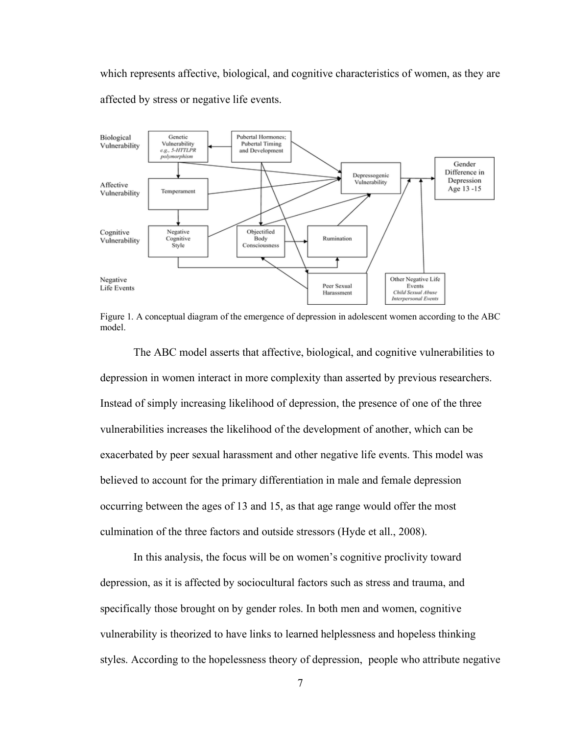which represents affective, biological, and cognitive characteristics of women, as they are affected by stress or negative life events.



Figure 1. A conceptual diagram of the emergence of depression in adolescent women according to the ABC model.

The ABC model asserts that affective, biological, and cognitive vulnerabilities to depression in women interact in more complexity than asserted by previous researchers. Instead of simply increasing likelihood of depression, the presence of one of the three vulnerabilities increases the likelihood of the development of another, which can be exacerbated by peer sexual harassment and other negative life events. This model was believed to account for the primary differentiation in male and female depression occurring between the ages of 13 and 15, as that age range would offer the most culmination of the three factors and outside stressors (Hyde et all., 2008).

In this analysis, the focus will be on women's cognitive proclivity toward depression, as it is affected by sociocultural factors such as stress and trauma, and specifically those brought on by gender roles. In both men and women, cognitive vulnerability is theorized to have links to learned helplessness and hopeless thinking styles. According to the hopelessness theory of depression, people who attribute negative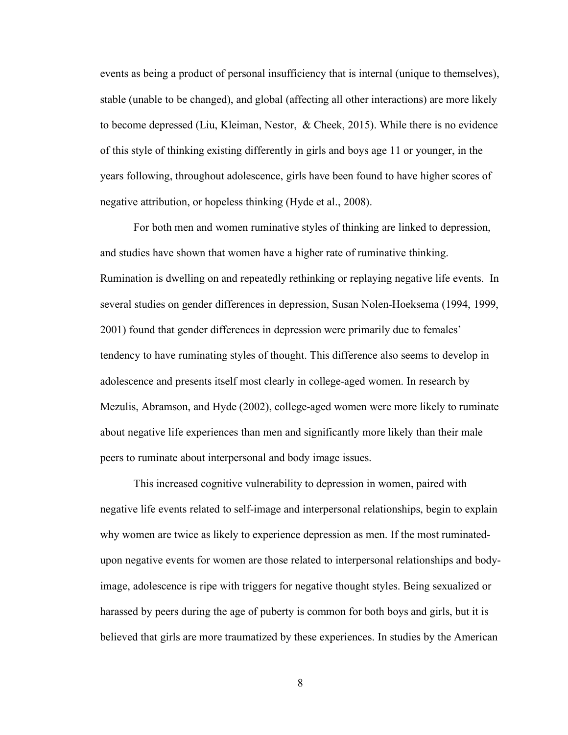events as being a product of personal insufficiency that is internal (unique to themselves), stable (unable to be changed), and global (affecting all other interactions) are more likely to become depressed (Liu, Kleiman, Nestor, & Cheek, 2015). While there is no evidence of this style of thinking existing differently in girls and boys age 11 or younger, in the years following, throughout adolescence, girls have been found to have higher scores of negative attribution, or hopeless thinking (Hyde et al., 2008).

For both men and women ruminative styles of thinking are linked to depression, and studies have shown that women have a higher rate of ruminative thinking. Rumination is dwelling on and repeatedly rethinking or replaying negative life events. In several studies on gender differences in depression, Susan Nolen-Hoeksema (1994, 1999, 2001) found that gender differences in depression were primarily due to females' tendency to have ruminating styles of thought. This difference also seems to develop in adolescence and presents itself most clearly in college-aged women. In research by Mezulis, Abramson, and Hyde (2002), college-aged women were more likely to ruminate about negative life experiences than men and significantly more likely than their male peers to ruminate about interpersonal and body image issues.

This increased cognitive vulnerability to depression in women, paired with negative life events related to self-image and interpersonal relationships, begin to explain why women are twice as likely to experience depression as men. If the most ruminatedupon negative events for women are those related to interpersonal relationships and bodyimage, adolescence is ripe with triggers for negative thought styles. Being sexualized or harassed by peers during the age of puberty is common for both boys and girls, but it is believed that girls are more traumatized by these experiences. In studies by the American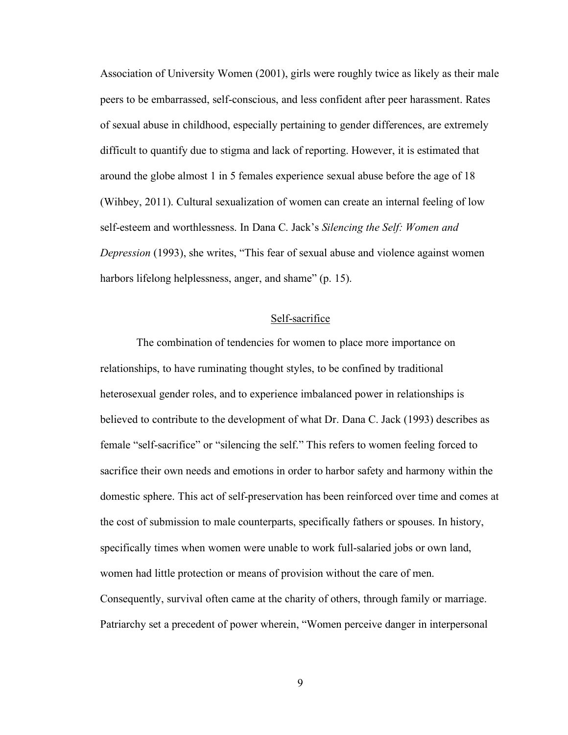Association of University Women (2001), girls were roughly twice as likely as their male peers to be embarrassed, self-conscious, and less confident after peer harassment. Rates of sexual abuse in childhood, especially pertaining to gender differences, are extremely difficult to quantify due to stigma and lack of reporting. However, it is estimated that around the globe almost 1 in 5 females experience sexual abuse before the age of 18 (Wihbey, 2011). Cultural sexualization of women can create an internal feeling of low self-esteem and worthlessness. In Dana C. Jack's *Silencing the Self: Women and Depression* (1993), she writes, "This fear of sexual abuse and violence against women harbors lifelong helplessness, anger, and shame" (p. 15).

# Self-sacrifice

The combination of tendencies for women to place more importance on relationships, to have ruminating thought styles, to be confined by traditional heterosexual gender roles, and to experience imbalanced power in relationships is believed to contribute to the development of what Dr. Dana C. Jack (1993) describes as female "self-sacrifice" or "silencing the self." This refers to women feeling forced to sacrifice their own needs and emotions in order to harbor safety and harmony within the domestic sphere. This act of self-preservation has been reinforced over time and comes at the cost of submission to male counterparts, specifically fathers or spouses. In history, specifically times when women were unable to work full-salaried jobs or own land, women had little protection or means of provision without the care of men. Consequently, survival often came at the charity of others, through family or marriage. Patriarchy set a precedent of power wherein, "Women perceive danger in interpersonal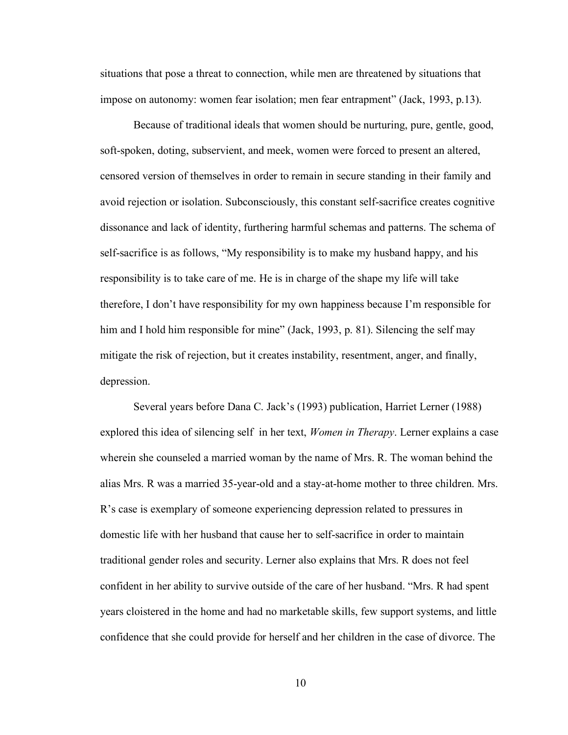situations that pose a threat to connection, while men are threatened by situations that impose on autonomy: women fear isolation; men fear entrapment" (Jack, 1993, p.13).

Because of traditional ideals that women should be nurturing, pure, gentle, good, soft-spoken, doting, subservient, and meek, women were forced to present an altered, censored version of themselves in order to remain in secure standing in their family and avoid rejection or isolation. Subconsciously, this constant self-sacrifice creates cognitive dissonance and lack of identity, furthering harmful schemas and patterns. The schema of self-sacrifice is as follows, "My responsibility is to make my husband happy, and his responsibility is to take care of me. He is in charge of the shape my life will take therefore, I don't have responsibility for my own happiness because I'm responsible for him and I hold him responsible for mine" (Jack, 1993, p. 81). Silencing the self may mitigate the risk of rejection, but it creates instability, resentment, anger, and finally, depression.

Several years before Dana C. Jack's (1993) publication, Harriet Lerner (1988) explored this idea of silencing self in her text, *Women in Therapy*. Lerner explains a case wherein she counseled a married woman by the name of Mrs. R. The woman behind the alias Mrs. R was a married 35-year-old and a stay-at-home mother to three children. Mrs. R's case is exemplary of someone experiencing depression related to pressures in domestic life with her husband that cause her to self-sacrifice in order to maintain traditional gender roles and security. Lerner also explains that Mrs. R does not feel confident in her ability to survive outside of the care of her husband. "Mrs. R had spent years cloistered in the home and had no marketable skills, few support systems, and little confidence that she could provide for herself and her children in the case of divorce. The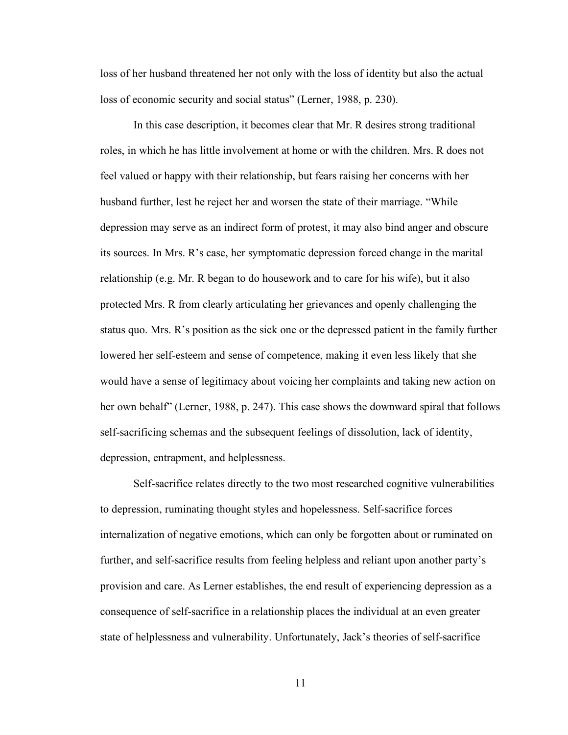loss of her husband threatened her not only with the loss of identity but also the actual loss of economic security and social status" (Lerner, 1988, p. 230).

In this case description, it becomes clear that Mr. R desires strong traditional roles, in which he has little involvement at home or with the children. Mrs. R does not feel valued or happy with their relationship, but fears raising her concerns with her husband further, lest he reject her and worsen the state of their marriage. "While depression may serve as an indirect form of protest, it may also bind anger and obscure its sources. In Mrs. R's case, her symptomatic depression forced change in the marital relationship (e.g. Mr. R began to do housework and to care for his wife), but it also protected Mrs. R from clearly articulating her grievances and openly challenging the status quo. Mrs. R's position as the sick one or the depressed patient in the family further lowered her self-esteem and sense of competence, making it even less likely that she would have a sense of legitimacy about voicing her complaints and taking new action on her own behalf" (Lerner, 1988, p. 247). This case shows the downward spiral that follows self-sacrificing schemas and the subsequent feelings of dissolution, lack of identity, depression, entrapment, and helplessness.

Self-sacrifice relates directly to the two most researched cognitive vulnerabilities to depression, ruminating thought styles and hopelessness. Self-sacrifice forces internalization of negative emotions, which can only be forgotten about or ruminated on further, and self-sacrifice results from feeling helpless and reliant upon another party's provision and care. As Lerner establishes, the end result of experiencing depression as a consequence of self-sacrifice in a relationship places the individual at an even greater state of helplessness and vulnerability. Unfortunately, Jack's theories of self-sacrifice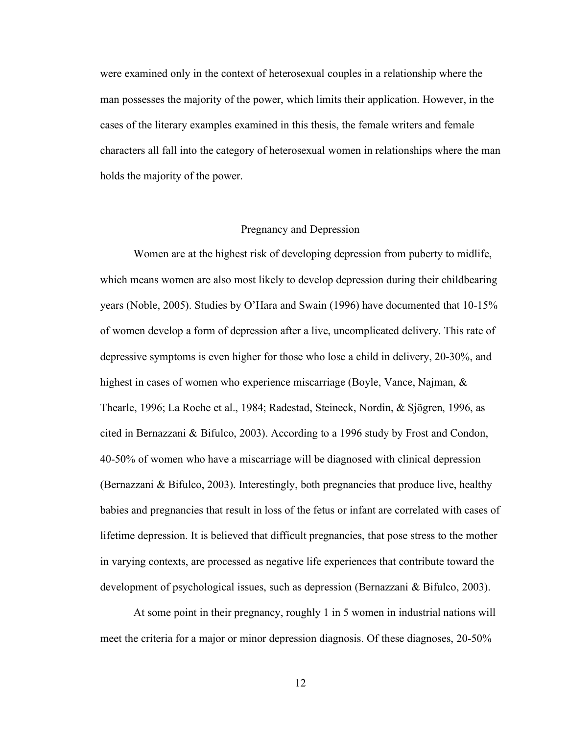were examined only in the context of heterosexual couples in a relationship where the man possesses the majority of the power, which limits their application. However, in the cases of the literary examples examined in this thesis, the female writers and female characters all fall into the category of heterosexual women in relationships where the man holds the majority of the power.

## Pregnancy and Depression

Women are at the highest risk of developing depression from puberty to midlife, which means women are also most likely to develop depression during their childbearing years (Noble, 2005). Studies by O'Hara and Swain (1996) have documented that 10-15% of women develop a form of depression after a live, uncomplicated delivery. This rate of depressive symptoms is even higher for those who lose a child in delivery, 20-30%, and highest in cases of women who experience miscarriage (Boyle, Vance, Najman, & Thearle, 1996; La Roche et al., 1984; Radestad, Steineck, Nordin, & Sjögren, 1996, as cited in Bernazzani & Bifulco, 2003). According to a 1996 study by Frost and Condon, 40-50% of women who have a miscarriage will be diagnosed with clinical depression (Bernazzani & Bifulco, 2003). Interestingly, both pregnancies that produce live, healthy babies and pregnancies that result in loss of the fetus or infant are correlated with cases of lifetime depression. It is believed that difficult pregnancies, that pose stress to the mother in varying contexts, are processed as negative life experiences that contribute toward the development of psychological issues, such as depression (Bernazzani & Bifulco, 2003).

At some point in their pregnancy, roughly 1 in 5 women in industrial nations will meet the criteria for a major or minor depression diagnosis. Of these diagnoses, 20-50%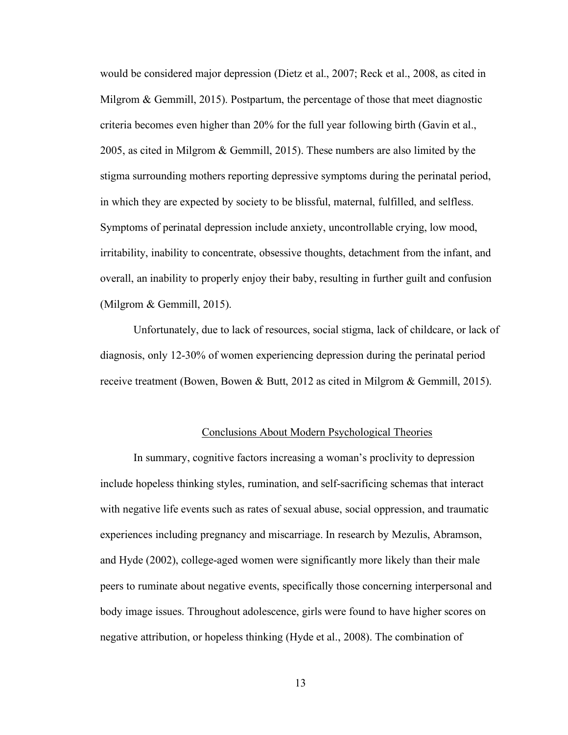would be considered major depression (Dietz et al., 2007; Reck et al., 2008, as cited in Milgrom & Gemmill, 2015). Postpartum, the percentage of those that meet diagnostic criteria becomes even higher than 20% for the full year following birth (Gavin et al., 2005, as cited in Milgrom & Gemmill, 2015). These numbers are also limited by the stigma surrounding mothers reporting depressive symptoms during the perinatal period, in which they are expected by society to be blissful, maternal, fulfilled, and selfless. Symptoms of perinatal depression include anxiety, uncontrollable crying, low mood, irritability, inability to concentrate, obsessive thoughts, detachment from the infant, and overall, an inability to properly enjoy their baby, resulting in further guilt and confusion (Milgrom & Gemmill, 2015).

Unfortunately, due to lack of resources, social stigma, lack of childcare, or lack of diagnosis, only 12-30% of women experiencing depression during the perinatal period receive treatment (Bowen, Bowen & Butt, 2012 as cited in Milgrom & Gemmill, 2015).

#### Conclusions About Modern Psychological Theories

In summary, cognitive factors increasing a woman's proclivity to depression include hopeless thinking styles, rumination, and self-sacrificing schemas that interact with negative life events such as rates of sexual abuse, social oppression, and traumatic experiences including pregnancy and miscarriage. In research by Mezulis, Abramson, and Hyde (2002), college-aged women were significantly more likely than their male peers to ruminate about negative events, specifically those concerning interpersonal and body image issues. Throughout adolescence, girls were found to have higher scores on negative attribution, or hopeless thinking (Hyde et al., 2008). The combination of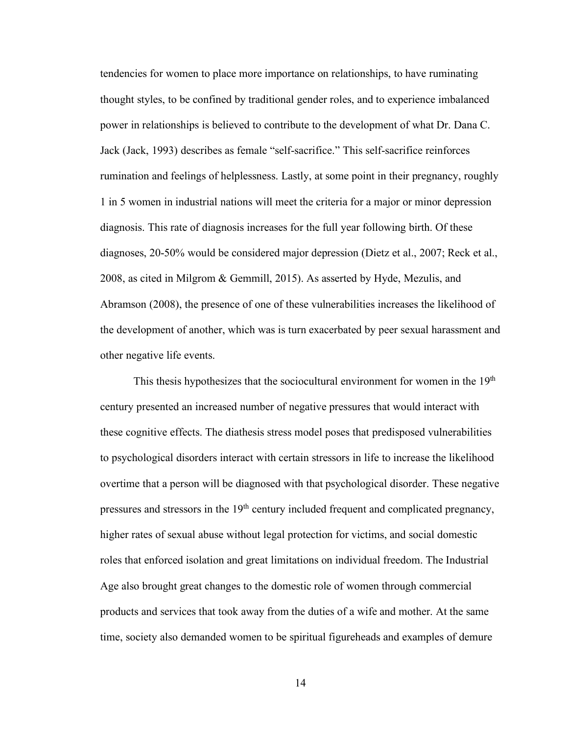tendencies for women to place more importance on relationships, to have ruminating thought styles, to be confined by traditional gender roles, and to experience imbalanced power in relationships is believed to contribute to the development of what Dr. Dana C. Jack (Jack, 1993) describes as female "self-sacrifice." This self-sacrifice reinforces rumination and feelings of helplessness. Lastly, at some point in their pregnancy, roughly 1 in 5 women in industrial nations will meet the criteria for a major or minor depression diagnosis. This rate of diagnosis increases for the full year following birth. Of these diagnoses, 20-50% would be considered major depression (Dietz et al., 2007; Reck et al., 2008, as cited in Milgrom & Gemmill, 2015). As asserted by Hyde, Mezulis, and Abramson (2008), the presence of one of these vulnerabilities increases the likelihood of the development of another, which was is turn exacerbated by peer sexual harassment and other negative life events.

This thesis hypothesizes that the sociocultural environment for women in the  $19<sup>th</sup>$ century presented an increased number of negative pressures that would interact with these cognitive effects. The diathesis stress model poses that predisposed vulnerabilities to psychological disorders interact with certain stressors in life to increase the likelihood overtime that a person will be diagnosed with that psychological disorder. These negative pressures and stressors in the 19<sup>th</sup> century included frequent and complicated pregnancy, higher rates of sexual abuse without legal protection for victims, and social domestic roles that enforced isolation and great limitations on individual freedom. The Industrial Age also brought great changes to the domestic role of women through commercial products and services that took away from the duties of a wife and mother. At the same time, society also demanded women to be spiritual figureheads and examples of demure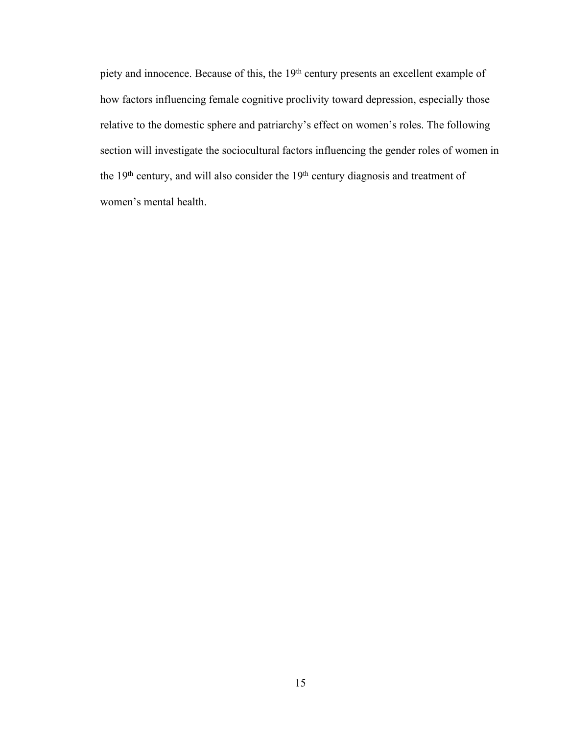piety and innocence. Because of this, the 19<sup>th</sup> century presents an excellent example of how factors influencing female cognitive proclivity toward depression, especially those relative to the domestic sphere and patriarchy's effect on women's roles. The following section will investigate the sociocultural factors influencing the gender roles of women in the 19th century, and will also consider the 19th century diagnosis and treatment of women's mental health.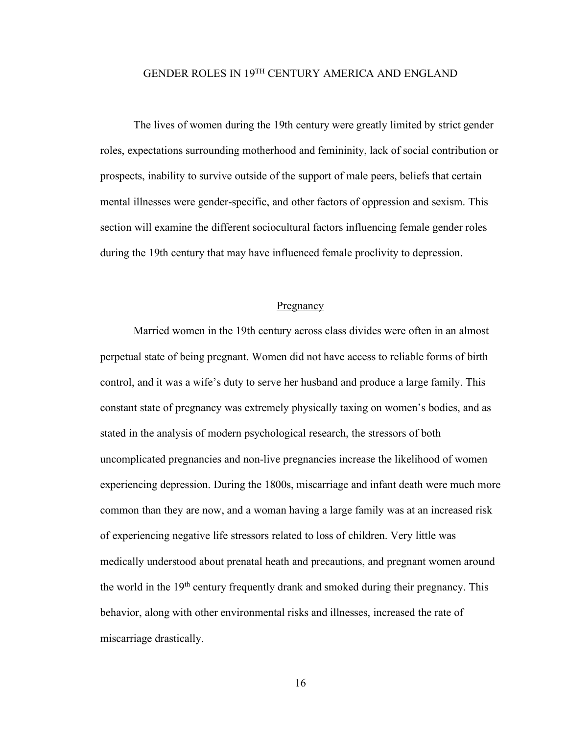# GENDER ROLES IN 19TH CENTURY AMERICA AND ENGLAND

The lives of women during the 19th century were greatly limited by strict gender roles, expectations surrounding motherhood and femininity, lack of social contribution or prospects, inability to survive outside of the support of male peers, beliefs that certain mental illnesses were gender-specific, and other factors of oppression and sexism. This section will examine the different sociocultural factors influencing female gender roles during the 19th century that may have influenced female proclivity to depression.

#### **Pregnancy**

Married women in the 19th century across class divides were often in an almost perpetual state of being pregnant. Women did not have access to reliable forms of birth control, and it was a wife's duty to serve her husband and produce a large family. This constant state of pregnancy was extremely physically taxing on women's bodies, and as stated in the analysis of modern psychological research, the stressors of both uncomplicated pregnancies and non-live pregnancies increase the likelihood of women experiencing depression. During the 1800s, miscarriage and infant death were much more common than they are now, and a woman having a large family was at an increased risk of experiencing negative life stressors related to loss of children. Very little was medically understood about prenatal heath and precautions, and pregnant women around the world in the 19<sup>th</sup> century frequently drank and smoked during their pregnancy. This behavior, along with other environmental risks and illnesses, increased the rate of miscarriage drastically.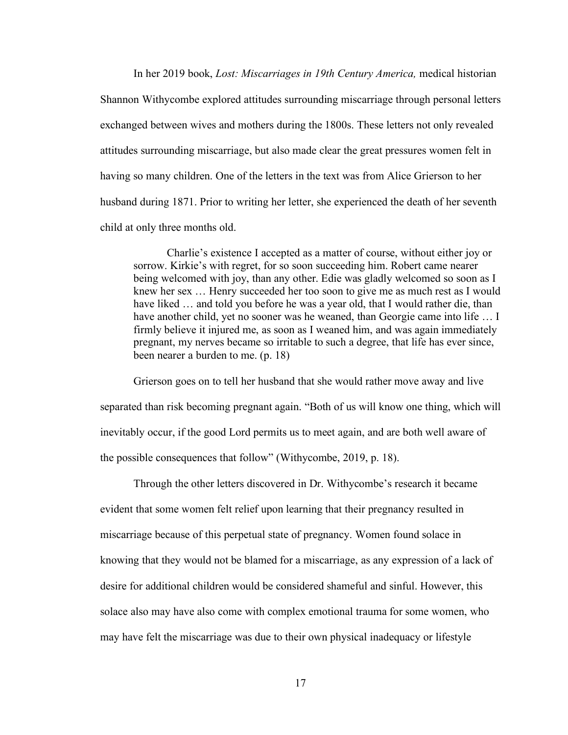In her 2019 book, *Lost: Miscarriages in 19th Century America,* medical historian Shannon Withycombe explored attitudes surrounding miscarriage through personal letters exchanged between wives and mothers during the 1800s. These letters not only revealed attitudes surrounding miscarriage, but also made clear the great pressures women felt in having so many children. One of the letters in the text was from Alice Grierson to her husband during 1871. Prior to writing her letter, she experienced the death of her seventh child at only three months old.

Charlie's existence I accepted as a matter of course, without either joy or sorrow. Kirkie's with regret, for so soon succeeding him. Robert came nearer being welcomed with joy, than any other. Edie was gladly welcomed so soon as I knew her sex … Henry succeeded her too soon to give me as much rest as I would have liked ... and told you before he was a year old, that I would rather die, than have another child, yet no sooner was he weaned, than Georgie came into life ... I firmly believe it injured me, as soon as I weaned him, and was again immediately pregnant, my nerves became so irritable to such a degree, that life has ever since, been nearer a burden to me. (p. 18)

Grierson goes on to tell her husband that she would rather move away and live separated than risk becoming pregnant again. "Both of us will know one thing, which will inevitably occur, if the good Lord permits us to meet again, and are both well aware of the possible consequences that follow" (Withycombe, 2019, p. 18).

Through the other letters discovered in Dr. Withycombe's research it became evident that some women felt relief upon learning that their pregnancy resulted in miscarriage because of this perpetual state of pregnancy. Women found solace in knowing that they would not be blamed for a miscarriage, as any expression of a lack of desire for additional children would be considered shameful and sinful. However, this solace also may have also come with complex emotional trauma for some women, who may have felt the miscarriage was due to their own physical inadequacy or lifestyle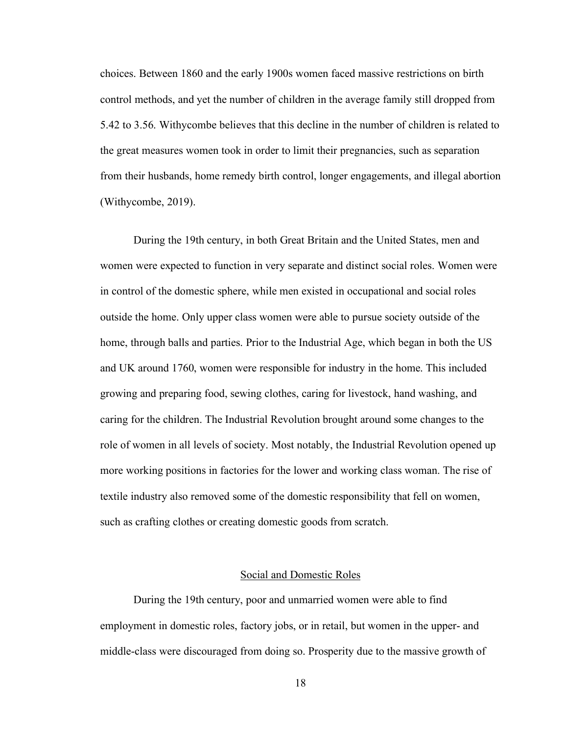choices. Between 1860 and the early 1900s women faced massive restrictions on birth control methods, and yet the number of children in the average family still dropped from 5.42 to 3.56. Withycombe believes that this decline in the number of children is related to the great measures women took in order to limit their pregnancies, such as separation from their husbands, home remedy birth control, longer engagements, and illegal abortion (Withycombe, 2019).

During the 19th century, in both Great Britain and the United States, men and women were expected to function in very separate and distinct social roles. Women were in control of the domestic sphere, while men existed in occupational and social roles outside the home. Only upper class women were able to pursue society outside of the home, through balls and parties. Prior to the Industrial Age, which began in both the US and UK around 1760, women were responsible for industry in the home. This included growing and preparing food, sewing clothes, caring for livestock, hand washing, and caring for the children. The Industrial Revolution brought around some changes to the role of women in all levels of society. Most notably, the Industrial Revolution opened up more working positions in factories for the lower and working class woman. The rise of textile industry also removed some of the domestic responsibility that fell on women, such as crafting clothes or creating domestic goods from scratch.

#### Social and Domestic Roles

During the 19th century, poor and unmarried women were able to find employment in domestic roles, factory jobs, or in retail, but women in the upper- and middle-class were discouraged from doing so. Prosperity due to the massive growth of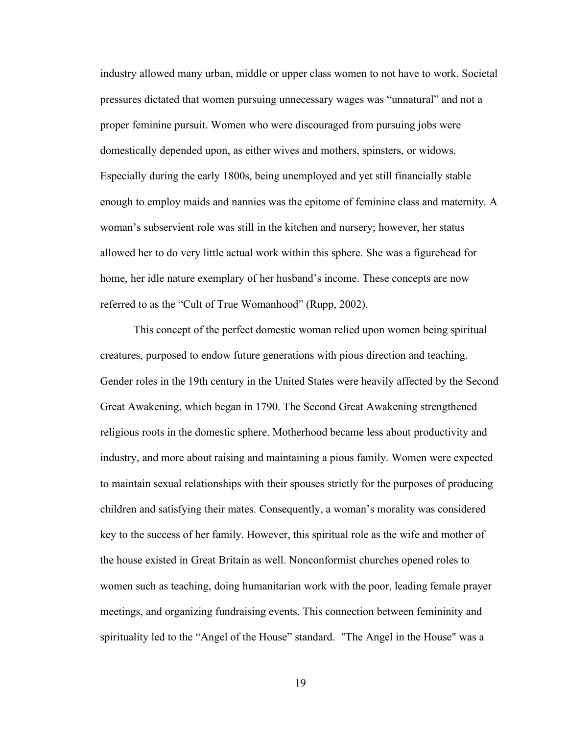industry allowed many urban, middle or upper class women to not have to work. Societal pressures dictated that women pursuing unnecessary wages was "unnatural" and not a proper feminine pursuit. Women who were discouraged from pursuing jobs were domestically depended upon, as either wives and mothers, spinsters, or widows. Especially during the early 1800s, being unemployed and yet still financially stable enough to employ maids and nannies was the epitome of feminine class and maternity. A woman's subservient role was still in the kitchen and nursery; however, her status allowed her to do very little actual work within this sphere. She was a figurehead for home, her idle nature exemplary of her husband's income. These concepts are now referred to as the "Cult of True Womanhood" (Rupp, 2002).

This concept of the perfect domestic woman relied upon women being spiritual creatures, purposed to endow future generations with pious direction and teaching. Gender roles in the 19th century in the United States were heavily affected by the Second Great Awakening, which began in 1790. The Second Great Awakening strengthened religious roots in the domestic sphere. Motherhood became less about productivity and industry, and more about raising and maintaining a pious family. Women were expected to maintain sexual relationships with their spouses strictly for the purposes of producing children and satisfying their mates. Consequently, a woman's morality was considered key to the success of her family. However, this spiritual role as the wife and mother of the house existed in Great Britain as well. Nonconformist churches opened roles to women such as teaching, doing humanitarian work with the poor, leading female prayer meetings, and organizing fundraising events. This connection between femininity and spirituality led to the "Angel of the House" standard. "The Angel in the House" was a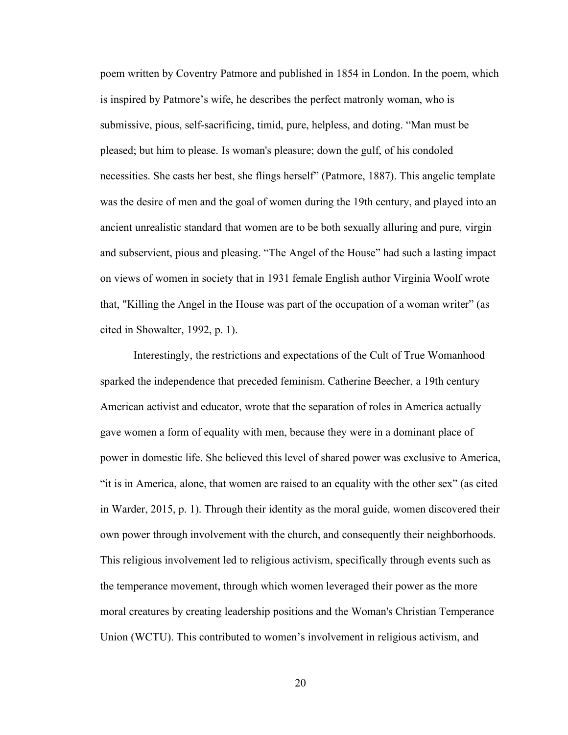poem written by Coventry Patmore and published in 1854 in London. In the poem, which is inspired by Patmore's wife, he describes the perfect matronly woman, who is submissive, pious, self-sacrificing, timid, pure, helpless, and doting. "Man must be pleased; but him to please. Is woman's pleasure; down the gulf, of his condoled necessities. She casts her best, she flings herself" (Patmore, 1887). This angelic template was the desire of men and the goal of women during the 19th century, and played into an ancient unrealistic standard that women are to be both sexually alluring and pure, virgin and subservient, pious and pleasing. "The Angel of the House" had such a lasting impact on views of women in society that in 1931 female English author Virginia Woolf wrote that, "Killing the Angel in the House was part of the occupation of a woman writer" (as cited in Showalter, 1992, p. 1).

Interestingly, the restrictions and expectations of the Cult of True Womanhood sparked the independence that preceded feminism. Catherine Beecher, a 19th century American activist and educator, wrote that the separation of roles in America actually gave women a form of equality with men, because they were in a dominant place of power in domestic life. She believed this level of shared power was exclusive to America, "it is in America, alone, that women are raised to an equality with the other sex" (as cited in Warder, 2015, p. 1). Through their identity as the moral guide, women discovered their own power through involvement with the church, and consequently their neighborhoods. This religious involvement led to religious activism, specifically through events such as the temperance movement, through which women leveraged their power as the more moral creatures by creating leadership positions and the Woman's Christian Temperance Union (WCTU). This contributed to women's involvement in religious activism, and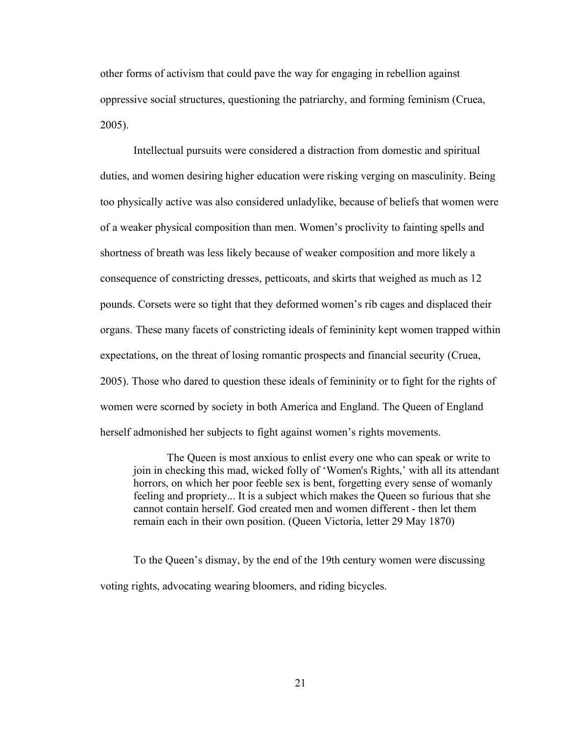other forms of activism that could pave the way for engaging in rebellion against oppressive social structures, questioning the patriarchy, and forming feminism (Cruea, 2005).

Intellectual pursuits were considered a distraction from domestic and spiritual duties, and women desiring higher education were risking verging on masculinity. Being too physically active was also considered unladylike, because of beliefs that women were of a weaker physical composition than men. Women's proclivity to fainting spells and shortness of breath was less likely because of weaker composition and more likely a consequence of constricting dresses, petticoats, and skirts that weighed as much as 12 pounds. Corsets were so tight that they deformed women's rib cages and displaced their organs. These many facets of constricting ideals of femininity kept women trapped within expectations, on the threat of losing romantic prospects and financial security (Cruea, 2005). Those who dared to question these ideals of femininity or to fight for the rights of women were scorned by society in both America and England. The Queen of England herself admonished her subjects to fight against women's rights movements.

The Queen is most anxious to enlist every one who can speak or write to join in checking this mad, wicked folly of 'Women's Rights,' with all its attendant horrors, on which her poor feeble sex is bent, forgetting every sense of womanly feeling and propriety... It is a subject which makes the Queen so furious that she cannot contain herself. God created men and women different - then let them remain each in their own position. (Queen Victoria, letter 29 May 1870)

To the Queen's dismay, by the end of the 19th century women were discussing voting rights, advocating wearing bloomers, and riding bicycles.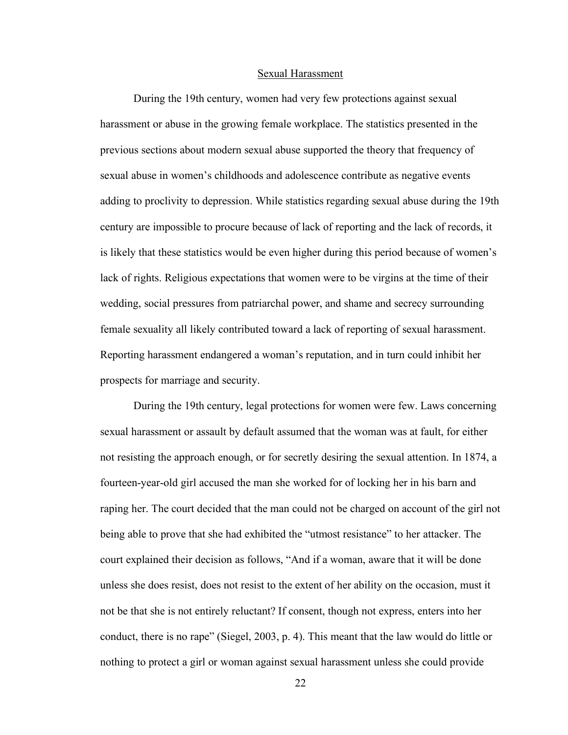#### Sexual Harassment

During the 19th century, women had very few protections against sexual harassment or abuse in the growing female workplace. The statistics presented in the previous sections about modern sexual abuse supported the theory that frequency of sexual abuse in women's childhoods and adolescence contribute as negative events adding to proclivity to depression. While statistics regarding sexual abuse during the 19th century are impossible to procure because of lack of reporting and the lack of records, it is likely that these statistics would be even higher during this period because of women's lack of rights. Religious expectations that women were to be virgins at the time of their wedding, social pressures from patriarchal power, and shame and secrecy surrounding female sexuality all likely contributed toward a lack of reporting of sexual harassment. Reporting harassment endangered a woman's reputation, and in turn could inhibit her prospects for marriage and security.

During the 19th century, legal protections for women were few. Laws concerning sexual harassment or assault by default assumed that the woman was at fault, for either not resisting the approach enough, or for secretly desiring the sexual attention. In 1874, a fourteen-year-old girl accused the man she worked for of locking her in his barn and raping her. The court decided that the man could not be charged on account of the girl not being able to prove that she had exhibited the "utmost resistance" to her attacker. The court explained their decision as follows, "And if a woman, aware that it will be done unless she does resist, does not resist to the extent of her ability on the occasion, must it not be that she is not entirely reluctant? If consent, though not express, enters into her conduct, there is no rape" (Siegel, 2003, p. 4). This meant that the law would do little or nothing to protect a girl or woman against sexual harassment unless she could provide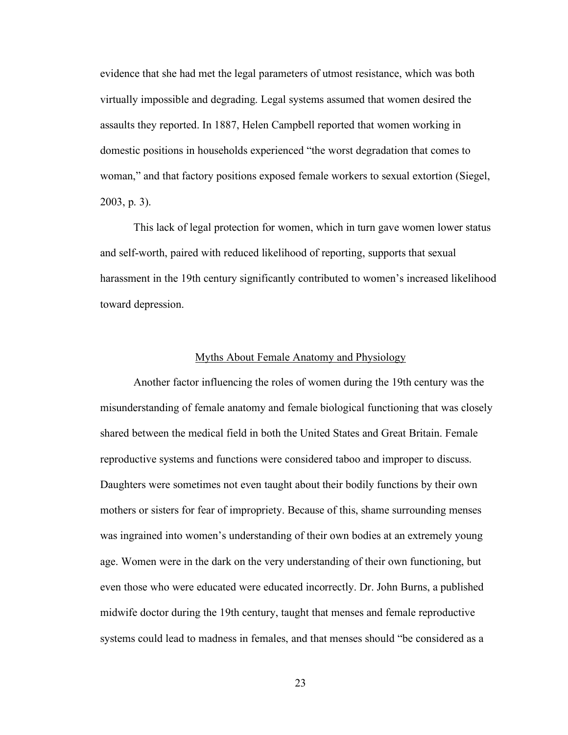evidence that she had met the legal parameters of utmost resistance, which was both virtually impossible and degrading. Legal systems assumed that women desired the assaults they reported. In 1887, Helen Campbell reported that women working in domestic positions in households experienced "the worst degradation that comes to woman," and that factory positions exposed female workers to sexual extortion (Siegel, 2003, p. 3).

This lack of legal protection for women, which in turn gave women lower status and self-worth, paired with reduced likelihood of reporting, supports that sexual harassment in the 19th century significantly contributed to women's increased likelihood toward depression.

### Myths About Female Anatomy and Physiology

Another factor influencing the roles of women during the 19th century was the misunderstanding of female anatomy and female biological functioning that was closely shared between the medical field in both the United States and Great Britain. Female reproductive systems and functions were considered taboo and improper to discuss. Daughters were sometimes not even taught about their bodily functions by their own mothers or sisters for fear of impropriety. Because of this, shame surrounding menses was ingrained into women's understanding of their own bodies at an extremely young age. Women were in the dark on the very understanding of their own functioning, but even those who were educated were educated incorrectly. Dr. John Burns, a published midwife doctor during the 19th century, taught that menses and female reproductive systems could lead to madness in females, and that menses should "be considered as a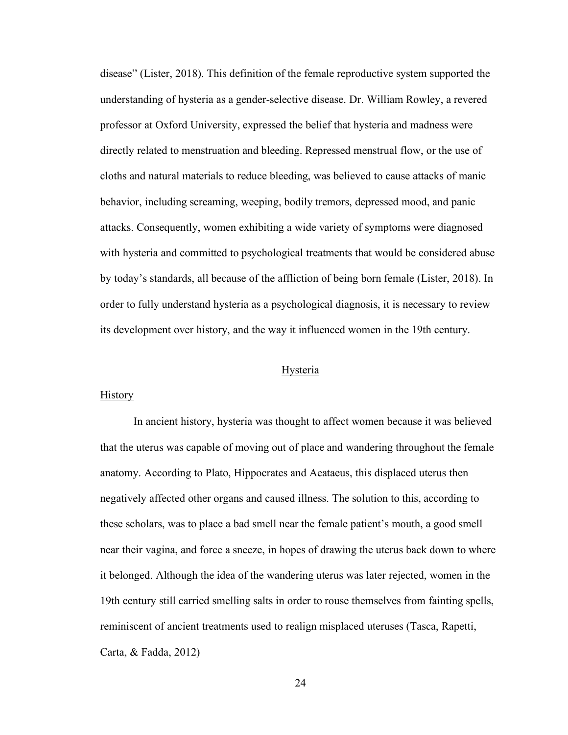disease" (Lister, 2018). This definition of the female reproductive system supported the understanding of hysteria as a gender-selective disease. Dr. William Rowley, a revered professor at Oxford University, expressed the belief that hysteria and madness were directly related to menstruation and bleeding. Repressed menstrual flow, or the use of cloths and natural materials to reduce bleeding, was believed to cause attacks of manic behavior, including screaming, weeping, bodily tremors, depressed mood, and panic attacks. Consequently, women exhibiting a wide variety of symptoms were diagnosed with hysteria and committed to psychological treatments that would be considered abuse by today's standards, all because of the affliction of being born female (Lister, 2018). In order to fully understand hysteria as a psychological diagnosis, it is necessary to review its development over history, and the way it influenced women in the 19th century.

#### Hysteria

# **History**

In ancient history, hysteria was thought to affect women because it was believed that the uterus was capable of moving out of place and wandering throughout the female anatomy. According to Plato, Hippocrates and Aeataeus, this displaced uterus then negatively affected other organs and caused illness. The solution to this, according to these scholars, was to place a bad smell near the female patient's mouth, a good smell near their vagina, and force a sneeze, in hopes of drawing the uterus back down to where it belonged. Although the idea of the wandering uterus was later rejected, women in the 19th century still carried smelling salts in order to rouse themselves from fainting spells, reminiscent of ancient treatments used to realign misplaced uteruses (Tasca, Rapetti, Carta, & Fadda, 2012)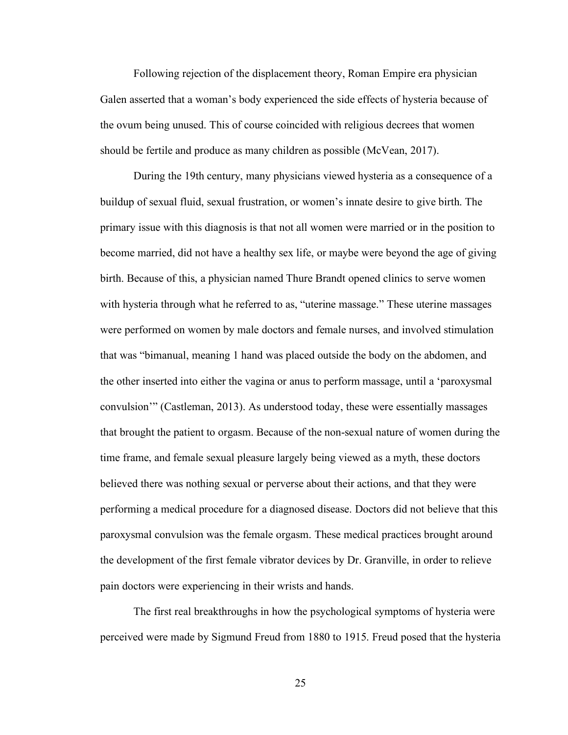Following rejection of the displacement theory, Roman Empire era physician Galen asserted that a woman's body experienced the side effects of hysteria because of the ovum being unused. This of course coincided with religious decrees that women should be fertile and produce as many children as possible (McVean, 2017).

During the 19th century, many physicians viewed hysteria as a consequence of a buildup of sexual fluid, sexual frustration, or women's innate desire to give birth. The primary issue with this diagnosis is that not all women were married or in the position to become married, did not have a healthy sex life, or maybe were beyond the age of giving birth. Because of this, a physician named Thure Brandt opened clinics to serve women with hysteria through what he referred to as, "uterine massage." These uterine massages were performed on women by male doctors and female nurses, and involved stimulation that was "bimanual, meaning 1 hand was placed outside the body on the abdomen, and the other inserted into either the vagina or anus to perform massage, until a 'paroxysmal convulsion'" (Castleman, 2013). As understood today, these were essentially massages that brought the patient to orgasm. Because of the non-sexual nature of women during the time frame, and female sexual pleasure largely being viewed as a myth, these doctors believed there was nothing sexual or perverse about their actions, and that they were performing a medical procedure for a diagnosed disease. Doctors did not believe that this paroxysmal convulsion was the female orgasm. These medical practices brought around the development of the first female vibrator devices by Dr. Granville, in order to relieve pain doctors were experiencing in their wrists and hands.

The first real breakthroughs in how the psychological symptoms of hysteria were perceived were made by Sigmund Freud from 1880 to 1915. Freud posed that the hysteria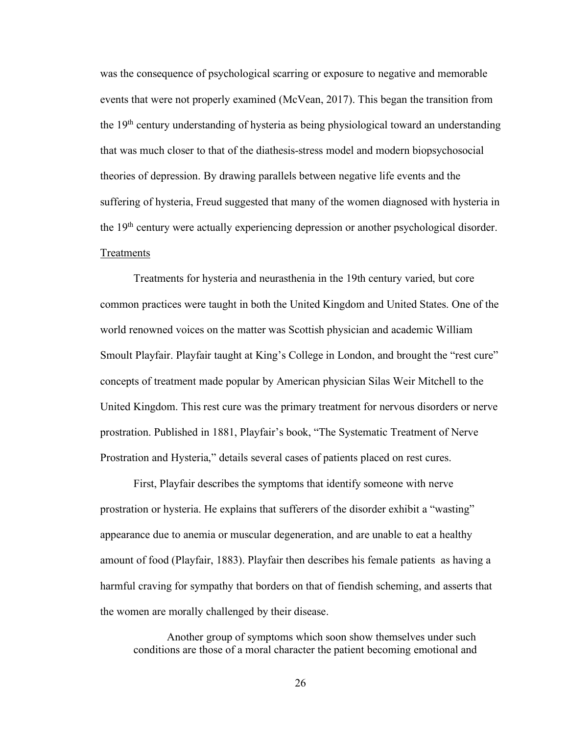was the consequence of psychological scarring or exposure to negative and memorable events that were not properly examined (McVean, 2017). This began the transition from the 19th century understanding of hysteria as being physiological toward an understanding that was much closer to that of the diathesis-stress model and modern biopsychosocial theories of depression. By drawing parallels between negative life events and the suffering of hysteria, Freud suggested that many of the women diagnosed with hysteria in the 19th century were actually experiencing depression or another psychological disorder. Treatments

Treatments for hysteria and neurasthenia in the 19th century varied, but core common practices were taught in both the United Kingdom and United States. One of the world renowned voices on the matter was Scottish physician and academic William Smoult Playfair. Playfair taught at King's College in London, and brought the "rest cure" concepts of treatment made popular by American physician Silas Weir Mitchell to the United Kingdom. This rest cure was the primary treatment for nervous disorders or nerve prostration. Published in 1881, Playfair's book, "The Systematic Treatment of Nerve Prostration and Hysteria," details several cases of patients placed on rest cures.

First, Playfair describes the symptoms that identify someone with nerve prostration or hysteria. He explains that sufferers of the disorder exhibit a "wasting" appearance due to anemia or muscular degeneration, and are unable to eat a healthy amount of food (Playfair, 1883). Playfair then describes his female patients as having a harmful craving for sympathy that borders on that of fiendish scheming, and asserts that the women are morally challenged by their disease.

Another group of symptoms which soon show themselves under such conditions are those of a moral character the patient becoming emotional and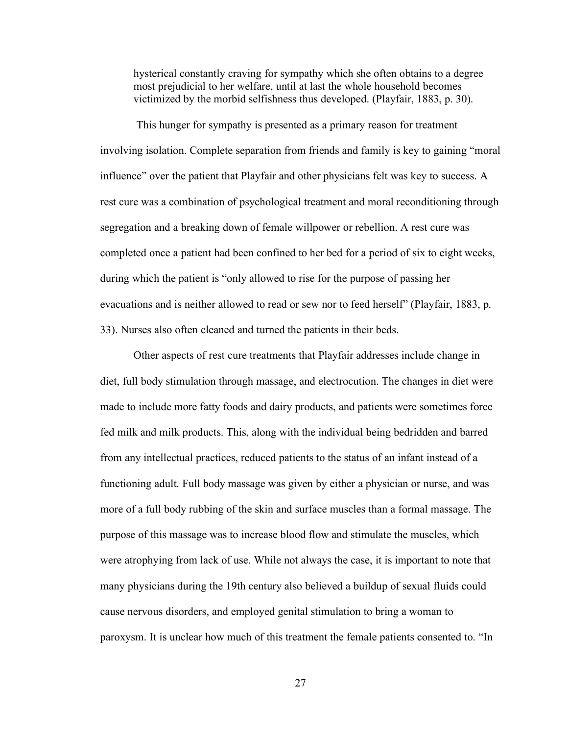hysterical constantly craving for sympathy which she often obtains to a degree most prejudicial to her welfare, until at last the whole household becomes victimized by the morbid selfishness thus developed. (Playfair, 1883, p. 30).

This hunger for sympathy is presented as a primary reason for treatment involving isolation. Complete separation from friends and family is key to gaining "moral influence" over the patient that Playfair and other physicians felt was key to success. A rest cure was a combination of psychological treatment and moral reconditioning through segregation and a breaking down of female willpower or rebellion. A rest cure was completed once a patient had been confined to her bed for a period of six to eight weeks, during which the patient is "only allowed to rise for the purpose of passing her evacuations and is neither allowed to read or sew nor to feed herself" (Playfair, 1883, p. 33). Nurses also often cleaned and turned the patients in their beds.

Other aspects of rest cure treatments that Playfair addresses include change in diet, full body stimulation through massage, and electrocution. The changes in diet were made to include more fatty foods and dairy products, and patients were sometimes force fed milk and milk products. This, along with the individual being bedridden and barred from any intellectual practices, reduced patients to the status of an infant instead of a functioning adult. Full body massage was given by either a physician or nurse, and was more of a full body rubbing of the skin and surface muscles than a formal massage. The purpose of this massage was to increase blood flow and stimulate the muscles, which were atrophying from lack of use. While not always the case, it is important to note that many physicians during the 19th century also believed a buildup of sexual fluids could cause nervous disorders, and employed genital stimulation to bring a woman to paroxysm. It is unclear how much of this treatment the female patients consented to. "In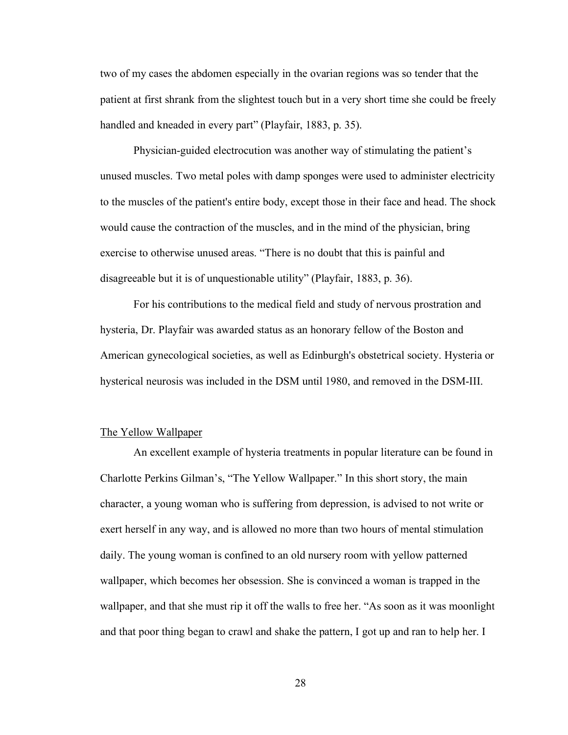two of my cases the abdomen especially in the ovarian regions was so tender that the patient at first shrank from the slightest touch but in a very short time she could be freely handled and kneaded in every part" (Playfair, 1883, p. 35).

Physician-guided electrocution was another way of stimulating the patient's unused muscles. Two metal poles with damp sponges were used to administer electricity to the muscles of the patient's entire body, except those in their face and head. The shock would cause the contraction of the muscles, and in the mind of the physician, bring exercise to otherwise unused areas. "There is no doubt that this is painful and disagreeable but it is of unquestionable utility" (Playfair, 1883, p. 36).

For his contributions to the medical field and study of nervous prostration and hysteria, Dr. Playfair was awarded status as an honorary fellow of the Boston and American gynecological societies, as well as Edinburgh's obstetrical society. Hysteria or hysterical neurosis was included in the DSM until 1980, and removed in the DSM-III.

#### The Yellow Wallpaper

An excellent example of hysteria treatments in popular literature can be found in Charlotte Perkins Gilman's, "The Yellow Wallpaper." In this short story, the main character, a young woman who is suffering from depression, is advised to not write or exert herself in any way, and is allowed no more than two hours of mental stimulation daily. The young woman is confined to an old nursery room with yellow patterned wallpaper, which becomes her obsession. She is convinced a woman is trapped in the wallpaper, and that she must rip it off the walls to free her. "As soon as it was moonlight and that poor thing began to crawl and shake the pattern, I got up and ran to help her. I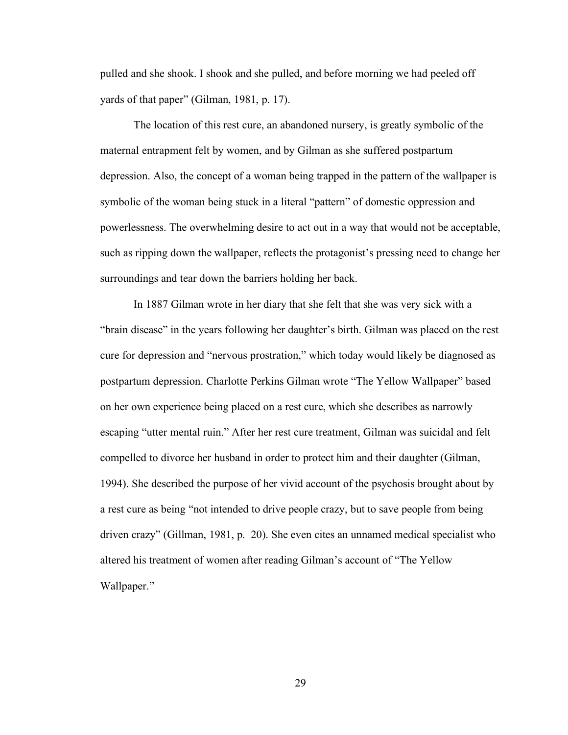pulled and she shook. I shook and she pulled, and before morning we had peeled off yards of that paper" (Gilman, 1981, p. 17).

The location of this rest cure, an abandoned nursery, is greatly symbolic of the maternal entrapment felt by women, and by Gilman as she suffered postpartum depression. Also, the concept of a woman being trapped in the pattern of the wallpaper is symbolic of the woman being stuck in a literal "pattern" of domestic oppression and powerlessness. The overwhelming desire to act out in a way that would not be acceptable, such as ripping down the wallpaper, reflects the protagonist's pressing need to change her surroundings and tear down the barriers holding her back.

In 1887 Gilman wrote in her diary that she felt that she was very sick with a "brain disease" in the years following her daughter's birth. Gilman was placed on the rest cure for depression and "nervous prostration," which today would likely be diagnosed as postpartum depression. Charlotte Perkins Gilman wrote "The Yellow Wallpaper" based on her own experience being placed on a rest cure, which she describes as narrowly escaping "utter mental ruin." After her rest cure treatment, Gilman was suicidal and felt compelled to divorce her husband in order to protect him and their daughter (Gilman, 1994). She described the purpose of her vivid account of the psychosis brought about by a rest cure as being "not intended to drive people crazy, but to save people from being driven crazy" (Gillman, 1981, p. 20). She even cites an unnamed medical specialist who altered his treatment of women after reading Gilman's account of "The Yellow Wallpaper."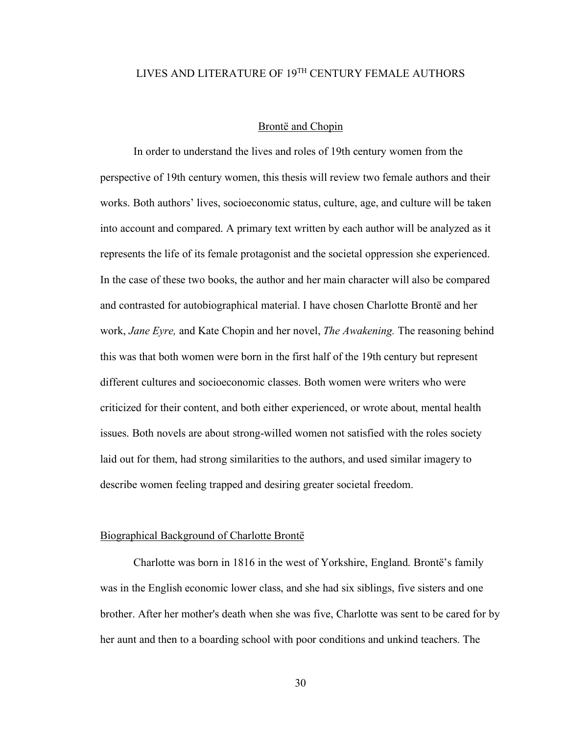# LIVES AND LITERATURE OF 19TH CENTURY FEMALE AUTHORS

#### Brontë and Chopin

In order to understand the lives and roles of 19th century women from the perspective of 19th century women, this thesis will review two female authors and their works. Both authors' lives, socioeconomic status, culture, age, and culture will be taken into account and compared. A primary text written by each author will be analyzed as it represents the life of its female protagonist and the societal oppression she experienced. In the case of these two books, the author and her main character will also be compared and contrasted for autobiographical material. I have chosen Charlotte Brontë and her work, *Jane Eyre,* and Kate Chopin and her novel, *The Awakening.* The reasoning behind this was that both women were born in the first half of the 19th century but represent different cultures and socioeconomic classes. Both women were writers who were criticized for their content, and both either experienced, or wrote about, mental health issues. Both novels are about strong-willed women not satisfied with the roles society laid out for them, had strong similarities to the authors, and used similar imagery to describe women feeling trapped and desiring greater societal freedom.

# Biographical Background of Charlotte Brontë

Charlotte was born in 1816 in the west of Yorkshire, England. Brontë's family was in the English economic lower class, and she had six siblings, five sisters and one brother. After her mother's death when she was five, Charlotte was sent to be cared for by her aunt and then to a boarding school with poor conditions and unkind teachers. The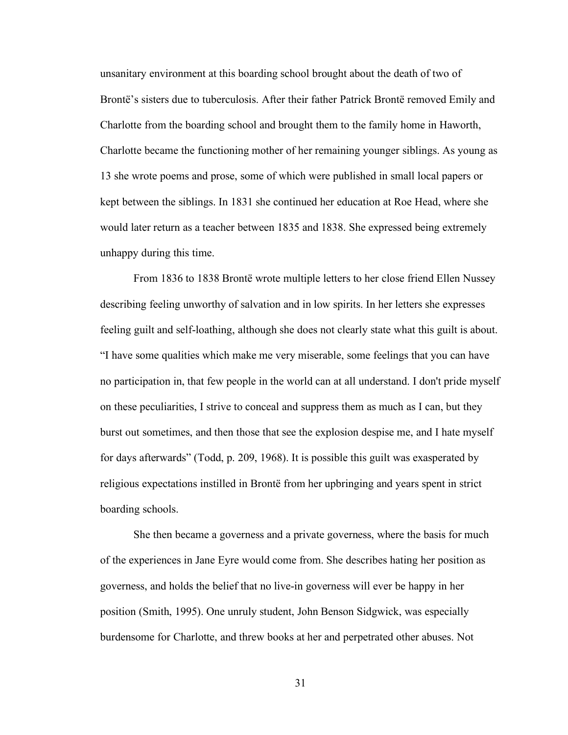unsanitary environment at this boarding school brought about the death of two of Brontë's sisters due to tuberculosis. After their father Patrick Brontë removed Emily and Charlotte from the boarding school and brought them to the family home in Haworth, Charlotte became the functioning mother of her remaining younger siblings. As young as 13 she wrote poems and prose, some of which were published in small local papers or kept between the siblings. In 1831 she continued her education at Roe Head, where she would later return as a teacher between 1835 and 1838. She expressed being extremely unhappy during this time.

From 1836 to 1838 Brontë wrote multiple letters to her close friend Ellen Nussey describing feeling unworthy of salvation and in low spirits. In her letters she expresses feeling guilt and self-loathing, although she does not clearly state what this guilt is about. "I have some qualities which make me very miserable, some feelings that you can have no participation in, that few people in the world can at all understand. I don't pride myself on these peculiarities, I strive to conceal and suppress them as much as I can, but they burst out sometimes, and then those that see the explosion despise me, and I hate myself for days afterwards" (Todd, p. 209, 1968). It is possible this guilt was exasperated by religious expectations instilled in Brontë from her upbringing and years spent in strict boarding schools.

She then became a governess and a private governess, where the basis for much of the experiences in Jane Eyre would come from. She describes hating her position as governess, and holds the belief that no live-in governess will ever be happy in her position (Smith, 1995). One unruly student, John Benson Sidgwick, was especially burdensome for Charlotte, and threw books at her and perpetrated other abuses. Not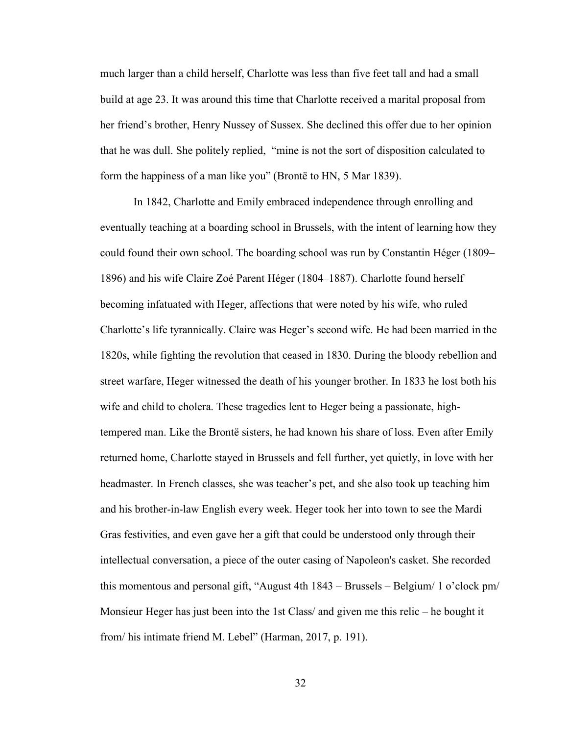much larger than a child herself, Charlotte was less than five feet tall and had a small build at age 23. It was around this time that Charlotte received a marital proposal from her friend's brother, Henry Nussey of Sussex. She declined this offer due to her opinion that he was dull. She politely replied, "mine is not the sort of disposition calculated to form the happiness of a man like you" (Brontë to HN, 5 Mar 1839).

In 1842, Charlotte and Emily embraced independence through enrolling and eventually teaching at a boarding school in Brussels, with the intent of learning how they could found their own school. The boarding school was run by Constantin Héger (1809– 1896) and his wife Claire Zoé Parent Héger (1804–1887). Charlotte found herself becoming infatuated with Heger, affections that were noted by his wife, who ruled Charlotte's life tyrannically. Claire was Heger's second wife. He had been married in the 1820s, while fighting the revolution that ceased in 1830. During the bloody rebellion and street warfare, Heger witnessed the death of his younger brother. In 1833 he lost both his wife and child to cholera. These tragedies lent to Heger being a passionate, hightempered man. Like the Brontë sisters, he had known his share of loss. Even after Emily returned home, Charlotte stayed in Brussels and fell further, yet quietly, in love with her headmaster. In French classes, she was teacher's pet, and she also took up teaching him and his brother-in-law English every week. Heger took her into town to see the Mardi Gras festivities, and even gave her a gift that could be understood only through their intellectual conversation, a piece of the outer casing of Napoleon's casket. She recorded this momentous and personal gift, "August 4th 1843 – Brussels – Belgium/ 1 o'clock pm/ Monsieur Heger has just been into the 1st Class/ and given me this relic – he bought it from/ his intimate friend M. Lebel" (Harman, 2017, p. 191).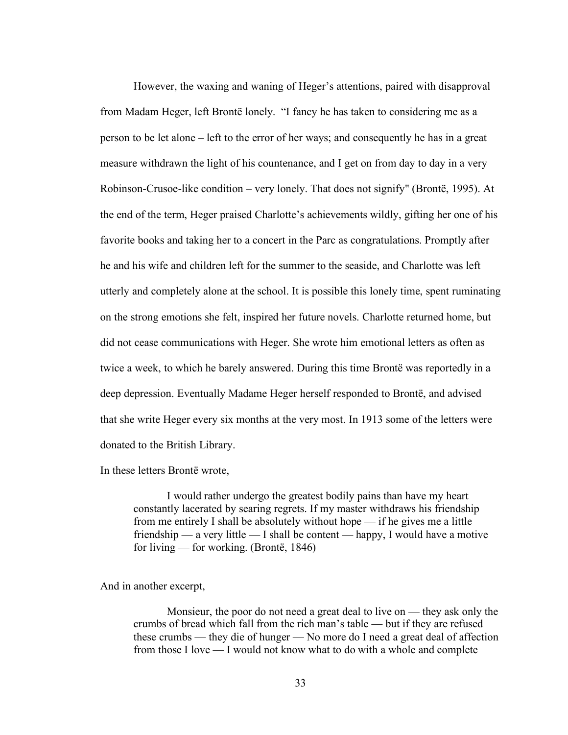However, the waxing and waning of Heger's attentions, paired with disapproval from Madam Heger, left Brontë lonely. "I fancy he has taken to considering me as a person to be let alone – left to the error of her ways; and consequently he has in a great measure withdrawn the light of his countenance, and I get on from day to day in a very Robinson-Crusoe-like condition – very lonely. That does not signify" (Brontë, 1995). At the end of the term, Heger praised Charlotte's achievements wildly, gifting her one of his favorite books and taking her to a concert in the Parc as congratulations. Promptly after he and his wife and children left for the summer to the seaside, and Charlotte was left utterly and completely alone at the school. It is possible this lonely time, spent ruminating on the strong emotions she felt, inspired her future novels. Charlotte returned home, but did not cease communications with Heger. She wrote him emotional letters as often as twice a week, to which he barely answered. During this time Brontë was reportedly in a deep depression. Eventually Madame Heger herself responded to Brontë, and advised that she write Heger every six months at the very most. In 1913 some of the letters were donated to the British Library.

In these letters Brontë wrote,

I would rather undergo the greatest bodily pains than have my heart constantly lacerated by searing regrets. If my master withdraws his friendship from me entirely I shall be absolutely without hope — if he gives me a little friendship — a very little — I shall be content — happy, I would have a motive for living — for working. (Brontë, 1846)

And in another excerpt,

Monsieur, the poor do not need a great deal to live on — they ask only the crumbs of bread which fall from the rich man's table — but if they are refused these crumbs — they die of hunger — No more do I need a great deal of affection from those I love — I would not know what to do with a whole and complete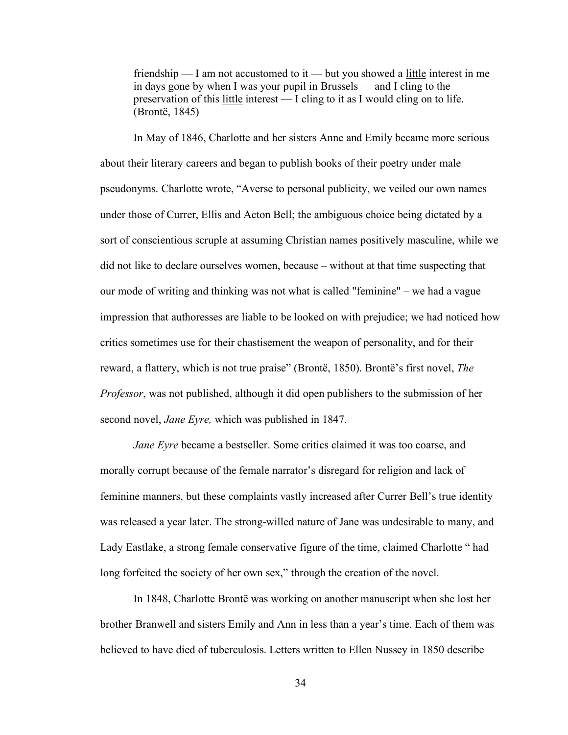friendship  $\overline{\phantom{a}}$  am not accustomed to it  $\overline{\phantom{a}}$  but you showed a little interest in me in days gone by when I was your pupil in Brussels — and I cling to the preservation of this little interest — I cling to it as I would cling on to life. (Brontë, 1845)

In May of 1846, Charlotte and her sisters Anne and Emily became more serious about their literary careers and began to publish books of their poetry under male pseudonyms. Charlotte wrote, "Averse to personal publicity, we veiled our own names under those of Currer, Ellis and Acton Bell; the ambiguous choice being dictated by a sort of conscientious scruple at assuming Christian names positively masculine, while we did not like to declare ourselves women, because – without at that time suspecting that our mode of writing and thinking was not what is called "feminine" – we had a vague impression that authoresses are liable to be looked on with prejudice; we had noticed how critics sometimes use for their chastisement the weapon of personality, and for their reward, a flattery, which is not true praise" (Brontë, 1850). Brontë's first novel, *The Professor*, was not published, although it did open publishers to the submission of her second novel, *Jane Eyre,* which was published in 1847.

*Jane Eyre* became a bestseller. Some critics claimed it was too coarse, and morally corrupt because of the female narrator's disregard for religion and lack of feminine manners, but these complaints vastly increased after Currer Bell's true identity was released a year later. The strong-willed nature of Jane was undesirable to many, and Lady Eastlake, a strong female conservative figure of the time, claimed Charlotte " had long forfeited the society of her own sex," through the creation of the novel.

In 1848, Charlotte Brontë was working on another manuscript when she lost her brother Branwell and sisters Emily and Ann in less than a year's time. Each of them was believed to have died of tuberculosis. Letters written to Ellen Nussey in 1850 describe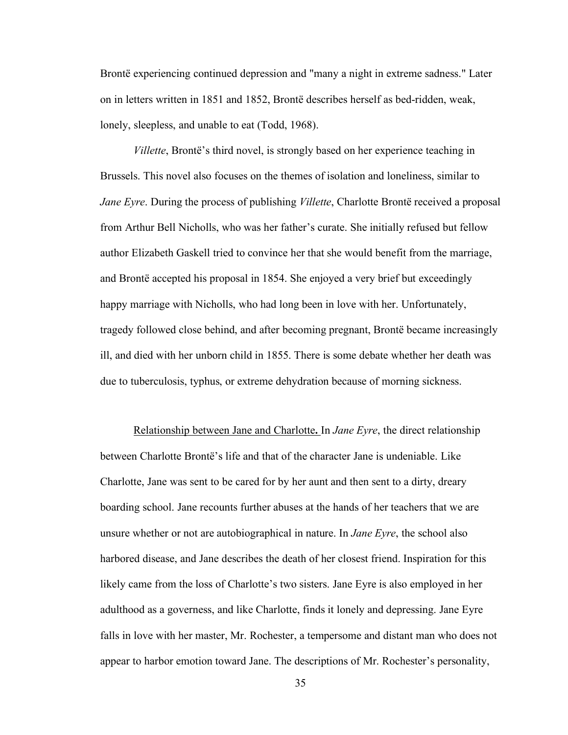Brontë experiencing continued depression and "many a night in extreme sadness." Later on in letters written in 1851 and 1852, Brontë describes herself as bed-ridden, weak, lonely, sleepless, and unable to eat (Todd, 1968).

*Villette*, Brontë's third novel, is strongly based on her experience teaching in Brussels. This novel also focuses on the themes of isolation and loneliness, similar to *Jane Eyre*. During the process of publishing *Villette*, Charlotte Brontë received a proposal from Arthur Bell Nicholls, who was her father's curate. She initially refused but fellow author Elizabeth Gaskell tried to convince her that she would benefit from the marriage, and Brontë accepted his proposal in 1854. She enjoyed a very brief but exceedingly happy marriage with Nicholls, who had long been in love with her. Unfortunately, tragedy followed close behind, and after becoming pregnant, Brontë became increasingly ill, and died with her unborn child in 1855. There is some debate whether her death was due to tuberculosis, typhus, or extreme dehydration because of morning sickness.

Relationship between Jane and Charlotte**.** In *Jane Eyre*, the direct relationship between Charlotte Brontë's life and that of the character Jane is undeniable. Like Charlotte, Jane was sent to be cared for by her aunt and then sent to a dirty, dreary boarding school. Jane recounts further abuses at the hands of her teachers that we are unsure whether or not are autobiographical in nature. In *Jane Eyre*, the school also harbored disease, and Jane describes the death of her closest friend. Inspiration for this likely came from the loss of Charlotte's two sisters. Jane Eyre is also employed in her adulthood as a governess, and like Charlotte, finds it lonely and depressing. Jane Eyre falls in love with her master, Mr. Rochester, a tempersome and distant man who does not appear to harbor emotion toward Jane. The descriptions of Mr. Rochester's personality,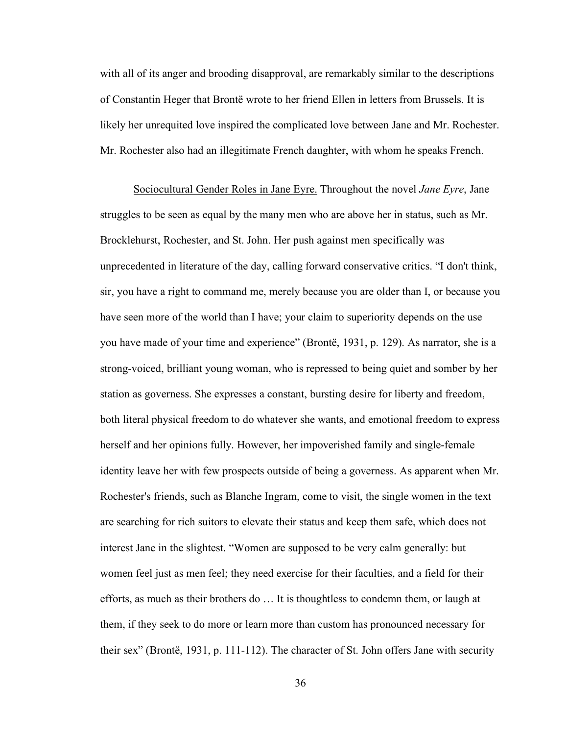with all of its anger and brooding disapproval, are remarkably similar to the descriptions of Constantin Heger that Brontë wrote to her friend Ellen in letters from Brussels. It is likely her unrequited love inspired the complicated love between Jane and Mr. Rochester. Mr. Rochester also had an illegitimate French daughter, with whom he speaks French.

Sociocultural Gender Roles in Jane Eyre. Throughout the novel *Jane Eyre*, Jane struggles to be seen as equal by the many men who are above her in status, such as Mr. Brocklehurst, Rochester, and St. John. Her push against men specifically was unprecedented in literature of the day, calling forward conservative critics. "I don't think, sir, you have a right to command me, merely because you are older than I, or because you have seen more of the world than I have; your claim to superiority depends on the use you have made of your time and experience" (Brontë, 1931, p. 129). As narrator, she is a strong-voiced, brilliant young woman, who is repressed to being quiet and somber by her station as governess. She expresses a constant, bursting desire for liberty and freedom, both literal physical freedom to do whatever she wants, and emotional freedom to express herself and her opinions fully. However, her impoverished family and single-female identity leave her with few prospects outside of being a governess. As apparent when Mr. Rochester's friends, such as Blanche Ingram, come to visit, the single women in the text are searching for rich suitors to elevate their status and keep them safe, which does not interest Jane in the slightest. "Women are supposed to be very calm generally: but women feel just as men feel; they need exercise for their faculties, and a field for their efforts, as much as their brothers do … It is thoughtless to condemn them, or laugh at them, if they seek to do more or learn more than custom has pronounced necessary for their sex" (Brontë, 1931, p. 111-112). The character of St. John offers Jane with security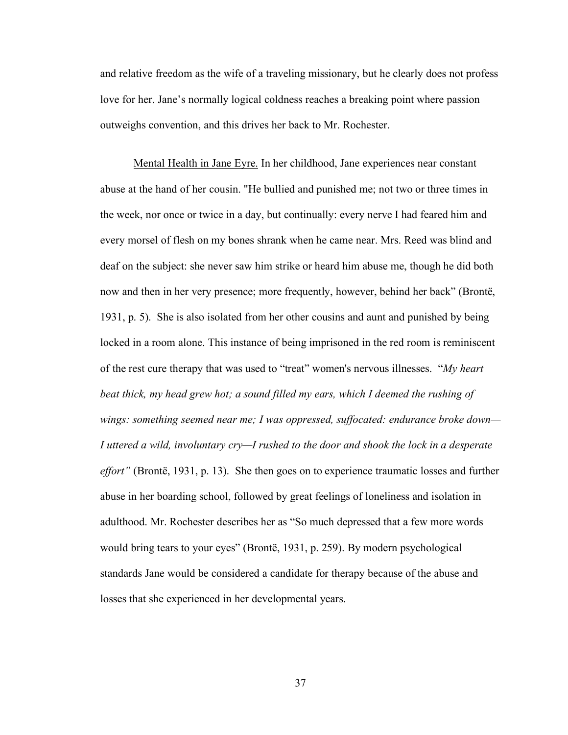and relative freedom as the wife of a traveling missionary, but he clearly does not profess love for her. Jane's normally logical coldness reaches a breaking point where passion outweighs convention, and this drives her back to Mr. Rochester.

Mental Health in Jane Eyre. In her childhood, Jane experiences near constant abuse at the hand of her cousin. "He bullied and punished me; not two or three times in the week, nor once or twice in a day, but continually: every nerve I had feared him and every morsel of flesh on my bones shrank when he came near. Mrs. Reed was blind and deaf on the subject: she never saw him strike or heard him abuse me, though he did both now and then in her very presence; more frequently, however, behind her back" (Brontë, 1931, p. 5). She is also isolated from her other cousins and aunt and punished by being locked in a room alone. This instance of being imprisoned in the red room is reminiscent of the rest cure therapy that was used to "treat" women's nervous illnesses. "*My heart beat thick, my head grew hot; a sound filled my ears, which I deemed the rushing of wings: something seemed near me; I was oppressed, suffocated: endurance broke down— I uttered a wild, involuntary cry—I rushed to the door and shook the lock in a desperate effort"* (Brontë, 1931, p. 13). She then goes on to experience traumatic losses and further abuse in her boarding school, followed by great feelings of loneliness and isolation in adulthood. Mr. Rochester describes her as "So much depressed that a few more words would bring tears to your eyes" (Brontë, 1931, p. 259). By modern psychological standards Jane would be considered a candidate for therapy because of the abuse and losses that she experienced in her developmental years.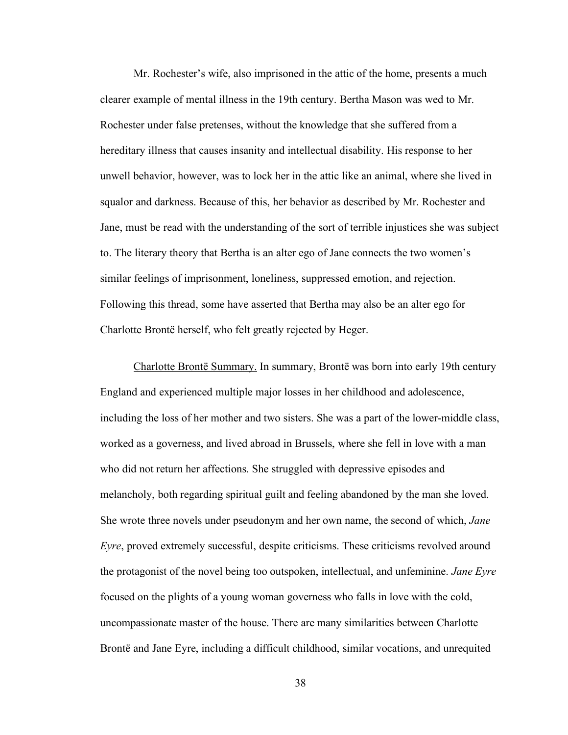Mr. Rochester's wife, also imprisoned in the attic of the home, presents a much clearer example of mental illness in the 19th century. Bertha Mason was wed to Mr. Rochester under false pretenses, without the knowledge that she suffered from a hereditary illness that causes insanity and intellectual disability. His response to her unwell behavior, however, was to lock her in the attic like an animal, where she lived in squalor and darkness. Because of this, her behavior as described by Mr. Rochester and Jane, must be read with the understanding of the sort of terrible injustices she was subject to. The literary theory that Bertha is an alter ego of Jane connects the two women's similar feelings of imprisonment, loneliness, suppressed emotion, and rejection. Following this thread, some have asserted that Bertha may also be an alter ego for Charlotte Brontë herself, who felt greatly rejected by Heger.

Charlotte Brontë Summary. In summary, Brontë was born into early 19th century England and experienced multiple major losses in her childhood and adolescence, including the loss of her mother and two sisters. She was a part of the lower-middle class, worked as a governess, and lived abroad in Brussels, where she fell in love with a man who did not return her affections. She struggled with depressive episodes and melancholy, both regarding spiritual guilt and feeling abandoned by the man she loved. She wrote three novels under pseudonym and her own name, the second of which, *Jane Eyre*, proved extremely successful, despite criticisms. These criticisms revolved around the protagonist of the novel being too outspoken, intellectual, and unfeminine. *Jane Eyre* focused on the plights of a young woman governess who falls in love with the cold, uncompassionate master of the house. There are many similarities between Charlotte Brontë and Jane Eyre, including a difficult childhood, similar vocations, and unrequited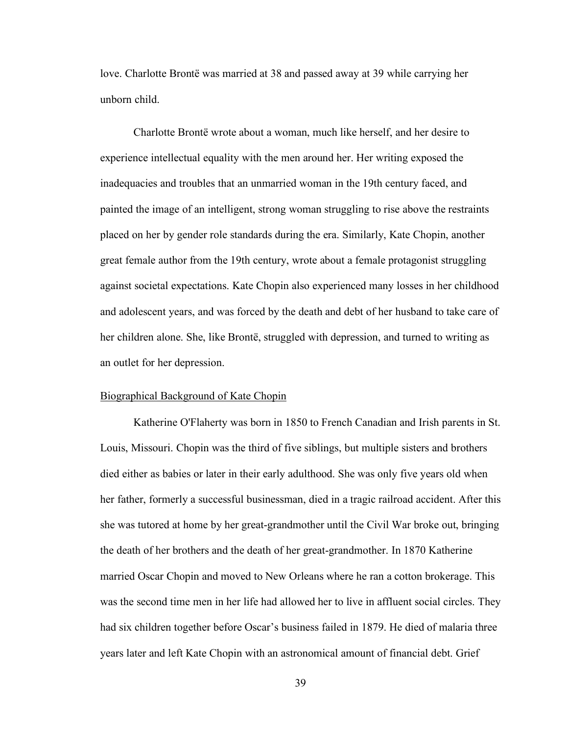love. Charlotte Brontë was married at 38 and passed away at 39 while carrying her unborn child.

Charlotte Brontë wrote about a woman, much like herself, and her desire to experience intellectual equality with the men around her. Her writing exposed the inadequacies and troubles that an unmarried woman in the 19th century faced, and painted the image of an intelligent, strong woman struggling to rise above the restraints placed on her by gender role standards during the era. Similarly, Kate Chopin, another great female author from the 19th century, wrote about a female protagonist struggling against societal expectations. Kate Chopin also experienced many losses in her childhood and adolescent years, and was forced by the death and debt of her husband to take care of her children alone. She, like Brontë, struggled with depression, and turned to writing as an outlet for her depression.

#### Biographical Background of Kate Chopin

Katherine O'Flaherty was born in 1850 to French Canadian and Irish parents in St. Louis, Missouri. Chopin was the third of five siblings, but multiple sisters and brothers died either as babies or later in their early adulthood. She was only five years old when her father, formerly a successful businessman, died in a tragic railroad accident. After this she was tutored at home by her great-grandmother until the Civil War broke out, bringing the death of her brothers and the death of her great-grandmother. In 1870 Katherine married Oscar Chopin and moved to New Orleans where he ran a cotton brokerage. This was the second time men in her life had allowed her to live in affluent social circles. They had six children together before Oscar's business failed in 1879. He died of malaria three years later and left Kate Chopin with an astronomical amount of financial debt. Grief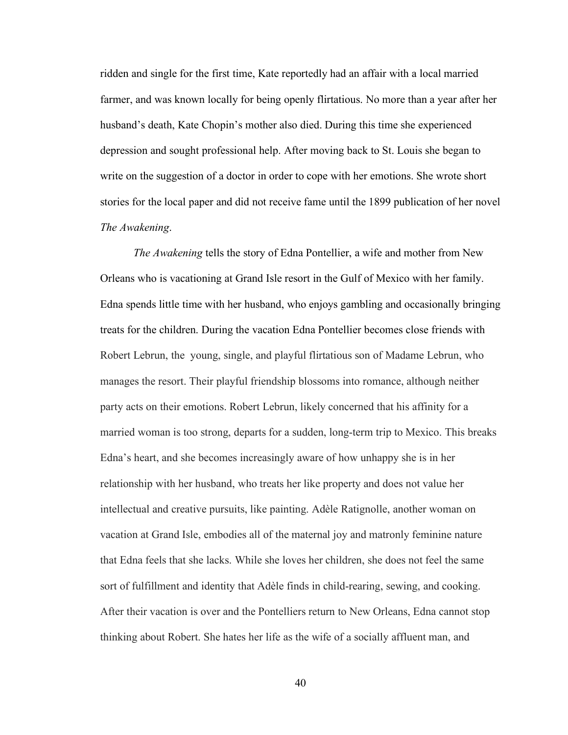ridden and single for the first time, Kate reportedly had an affair with a local married farmer, and was known locally for being openly flirtatious. No more than a year after her husband's death, Kate Chopin's mother also died. During this time she experienced depression and sought professional help. After moving back to St. Louis she began to write on the suggestion of a doctor in order to cope with her emotions. She wrote short stories for the local paper and did not receive fame until the 1899 publication of her novel *The Awakening*.

*The Awakening* tells the story of Edna Pontellier, a wife and mother from New Orleans who is vacationing at Grand Isle resort in the Gulf of Mexico with her family. Edna spends little time with her husband, who enjoys gambling and occasionally bringing treats for the children. During the vacation Edna Pontellier becomes close friends with Robert Lebrun, the young, single, and playful flirtatious son of Madame Lebrun, who manages the resort. Their playful friendship blossoms into romance, although neither party acts on their emotions. Robert Lebrun, likely concerned that his affinity for a married woman is too strong, departs for a sudden, long-term trip to Mexico. This breaks Edna's heart, and she becomes increasingly aware of how unhappy she is in her relationship with her husband, who treats her like property and does not value her intellectual and creative pursuits, like painting. Adèle Ratignolle, another woman on vacation at Grand Isle, embodies all of the maternal joy and matronly feminine nature that Edna feels that she lacks. While she loves her children, she does not feel the same sort of fulfillment and identity that Adèle finds in child-rearing, sewing, and cooking. After their vacation is over and the Pontelliers return to New Orleans, Edna cannot stop thinking about Robert. She hates her life as the wife of a socially affluent man, and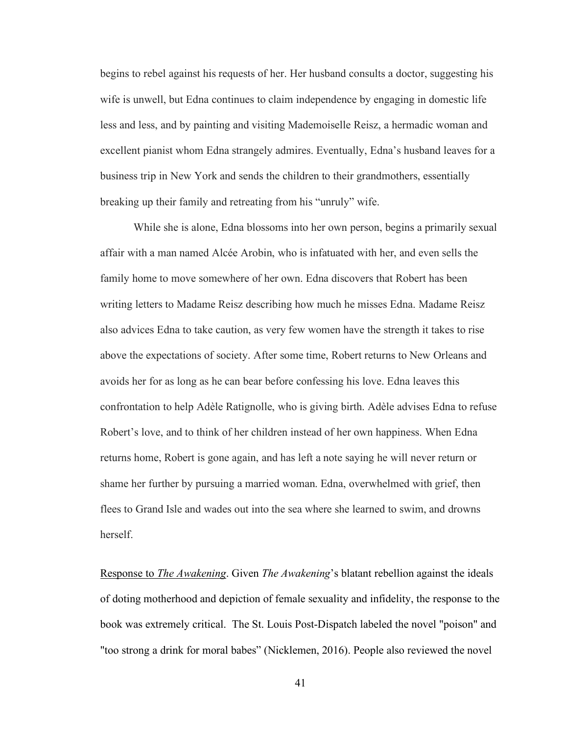begins to rebel against his requests of her. Her husband consults a doctor, suggesting his wife is unwell, but Edna continues to claim independence by engaging in domestic life less and less, and by painting and visiting Mademoiselle Reisz, a hermadic woman and excellent pianist whom Edna strangely admires. Eventually, Edna's husband leaves for a business trip in New York and sends the children to their grandmothers, essentially breaking up their family and retreating from his "unruly" wife.

While she is alone, Edna blossoms into her own person, begins a primarily sexual affair with a man named Alcée Arobin, who is infatuated with her, and even sells the family home to move somewhere of her own. Edna discovers that Robert has been writing letters to Madame Reisz describing how much he misses Edna. Madame Reisz also advices Edna to take caution, as very few women have the strength it takes to rise above the expectations of society. After some time, Robert returns to New Orleans and avoids her for as long as he can bear before confessing his love. Edna leaves this confrontation to help Adèle Ratignolle, who is giving birth. Adèle advises Edna to refuse Robert's love, and to think of her children instead of her own happiness. When Edna returns home, Robert is gone again, and has left a note saying he will never return or shame her further by pursuing a married woman. Edna, overwhelmed with grief, then flees to Grand Isle and wades out into the sea where she learned to swim, and drowns herself.

Response to *The Awakening*. Given *The Awakening*'s blatant rebellion against the ideals of doting motherhood and depiction of female sexuality and infidelity, the response to the book was extremely critical. The St. Louis Post-Dispatch labeled the novel "poison" and "too strong a drink for moral babes" (Nicklemen, 2016). People also reviewed the novel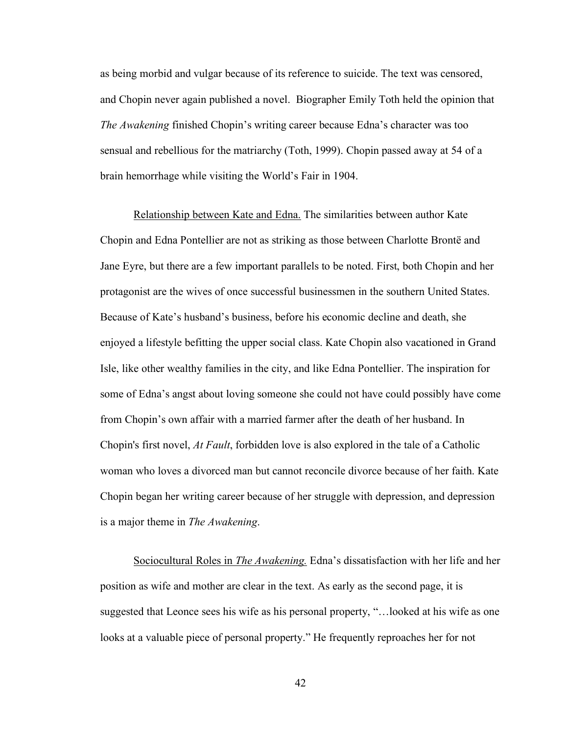as being morbid and vulgar because of its reference to suicide. The text was censored, and Chopin never again published a novel. Biographer Emily Toth held the opinion that *The Awakening* finished Chopin's writing career because Edna's character was too sensual and rebellious for the matriarchy (Toth, 1999). Chopin passed away at 54 of a brain hemorrhage while visiting the World's Fair in 1904.

Relationship between Kate and Edna. The similarities between author Kate Chopin and Edna Pontellier are not as striking as those between Charlotte Brontë and Jane Eyre, but there are a few important parallels to be noted. First, both Chopin and her protagonist are the wives of once successful businessmen in the southern United States. Because of Kate's husband's business, before his economic decline and death, she enjoyed a lifestyle befitting the upper social class. Kate Chopin also vacationed in Grand Isle, like other wealthy families in the city, and like Edna Pontellier. The inspiration for some of Edna's angst about loving someone she could not have could possibly have come from Chopin's own affair with a married farmer after the death of her husband. In Chopin's first novel, *At Fault*, forbidden love is also explored in the tale of a Catholic woman who loves a divorced man but cannot reconcile divorce because of her faith. Kate Chopin began her writing career because of her struggle with depression, and depression is a major theme in *The Awakening*.

Sociocultural Roles in *The Awakening.* Edna's dissatisfaction with her life and her position as wife and mother are clear in the text. As early as the second page, it is suggested that Leonce sees his wife as his personal property, "…looked at his wife as one looks at a valuable piece of personal property." He frequently reproaches her for not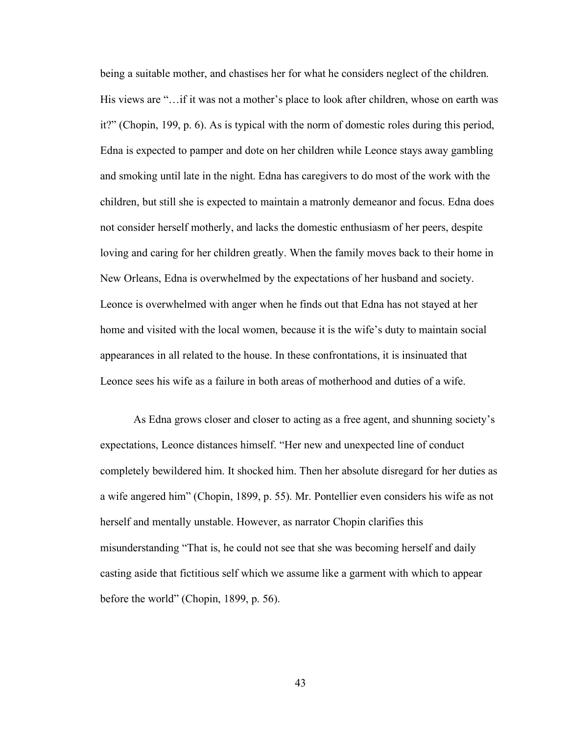being a suitable mother, and chastises her for what he considers neglect of the children. His views are "…if it was not a mother's place to look after children, whose on earth was it?" (Chopin, 199, p. 6). As is typical with the norm of domestic roles during this period, Edna is expected to pamper and dote on her children while Leonce stays away gambling and smoking until late in the night. Edna has caregivers to do most of the work with the children, but still she is expected to maintain a matronly demeanor and focus. Edna does not consider herself motherly, and lacks the domestic enthusiasm of her peers, despite loving and caring for her children greatly. When the family moves back to their home in New Orleans, Edna is overwhelmed by the expectations of her husband and society. Leonce is overwhelmed with anger when he finds out that Edna has not stayed at her home and visited with the local women, because it is the wife's duty to maintain social appearances in all related to the house. In these confrontations, it is insinuated that Leonce sees his wife as a failure in both areas of motherhood and duties of a wife.

As Edna grows closer and closer to acting as a free agent, and shunning society's expectations, Leonce distances himself. "Her new and unexpected line of conduct completely bewildered him. It shocked him. Then her absolute disregard for her duties as a wife angered him" (Chopin, 1899, p. 55). Mr. Pontellier even considers his wife as not herself and mentally unstable. However, as narrator Chopin clarifies this misunderstanding "That is, he could not see that she was becoming herself and daily casting aside that fictitious self which we assume like a garment with which to appear before the world" (Chopin, 1899, p. 56).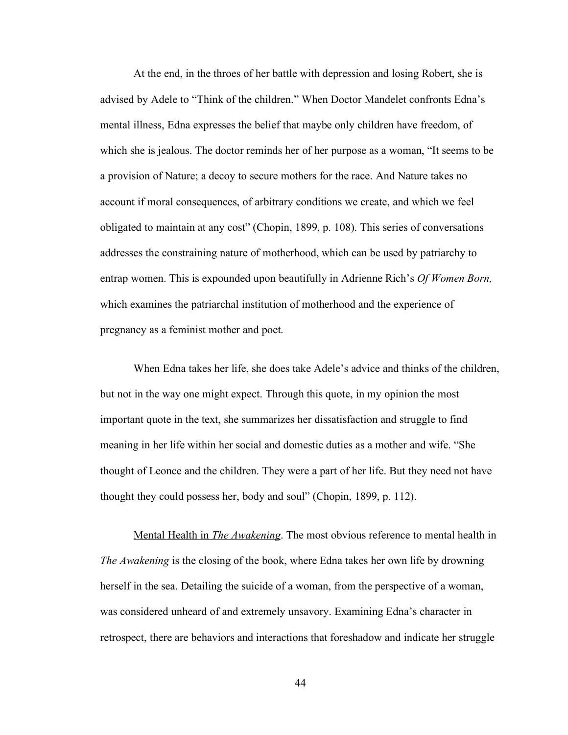At the end, in the throes of her battle with depression and losing Robert, she is advised by Adele to "Think of the children." When Doctor Mandelet confronts Edna's mental illness, Edna expresses the belief that maybe only children have freedom, of which she is jealous. The doctor reminds her of her purpose as a woman, "It seems to be a provision of Nature; a decoy to secure mothers for the race. And Nature takes no account if moral consequences, of arbitrary conditions we create, and which we feel obligated to maintain at any cost" (Chopin, 1899, p. 108). This series of conversations addresses the constraining nature of motherhood, which can be used by patriarchy to entrap women. This is expounded upon beautifully in Adrienne Rich's *Of Women Born,* which examines the patriarchal institution of motherhood and the experience of pregnancy as a feminist mother and poet.

When Edna takes her life, she does take Adele's advice and thinks of the children, but not in the way one might expect. Through this quote, in my opinion the most important quote in the text, she summarizes her dissatisfaction and struggle to find meaning in her life within her social and domestic duties as a mother and wife. "She thought of Leonce and the children. They were a part of her life. But they need not have thought they could possess her, body and soul" (Chopin, 1899, p. 112).

Mental Health in *The Awakening*. The most obvious reference to mental health in *The Awakening* is the closing of the book, where Edna takes her own life by drowning herself in the sea. Detailing the suicide of a woman, from the perspective of a woman, was considered unheard of and extremely unsavory. Examining Edna's character in retrospect, there are behaviors and interactions that foreshadow and indicate her struggle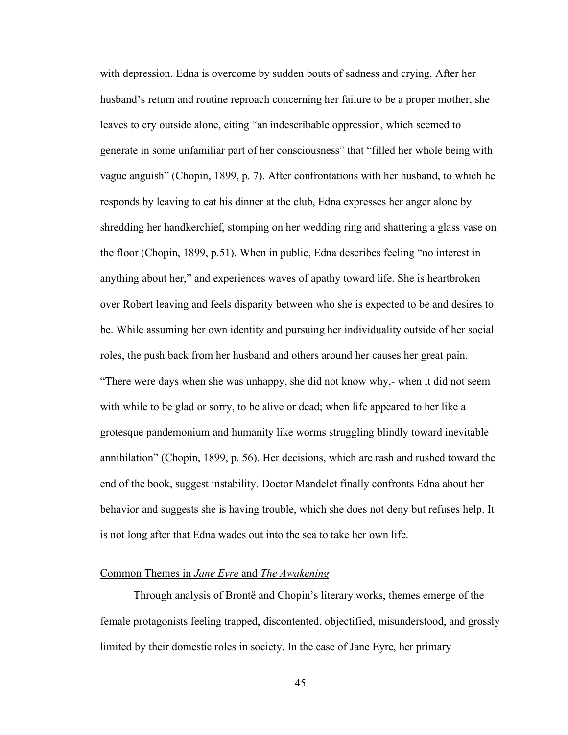with depression. Edna is overcome by sudden bouts of sadness and crying. After her husband's return and routine reproach concerning her failure to be a proper mother, she leaves to cry outside alone, citing "an indescribable oppression, which seemed to generate in some unfamiliar part of her consciousness" that "filled her whole being with vague anguish" (Chopin, 1899, p. 7). After confrontations with her husband, to which he responds by leaving to eat his dinner at the club, Edna expresses her anger alone by shredding her handkerchief, stomping on her wedding ring and shattering a glass vase on the floor (Chopin, 1899, p.51). When in public, Edna describes feeling "no interest in anything about her," and experiences waves of apathy toward life. She is heartbroken over Robert leaving and feels disparity between who she is expected to be and desires to be. While assuming her own identity and pursuing her individuality outside of her social roles, the push back from her husband and others around her causes her great pain. "There were days when she was unhappy, she did not know why,- when it did not seem with while to be glad or sorry, to be alive or dead; when life appeared to her like a grotesque pandemonium and humanity like worms struggling blindly toward inevitable annihilation" (Chopin, 1899, p. 56). Her decisions, which are rash and rushed toward the end of the book, suggest instability. Doctor Mandelet finally confronts Edna about her behavior and suggests she is having trouble, which she does not deny but refuses help. It is not long after that Edna wades out into the sea to take her own life.

## Common Themes in *Jane Eyre* and *The Awakening*

Through analysis of Brontë and Chopin's literary works, themes emerge of the female protagonists feeling trapped, discontented, objectified, misunderstood, and grossly limited by their domestic roles in society. In the case of Jane Eyre, her primary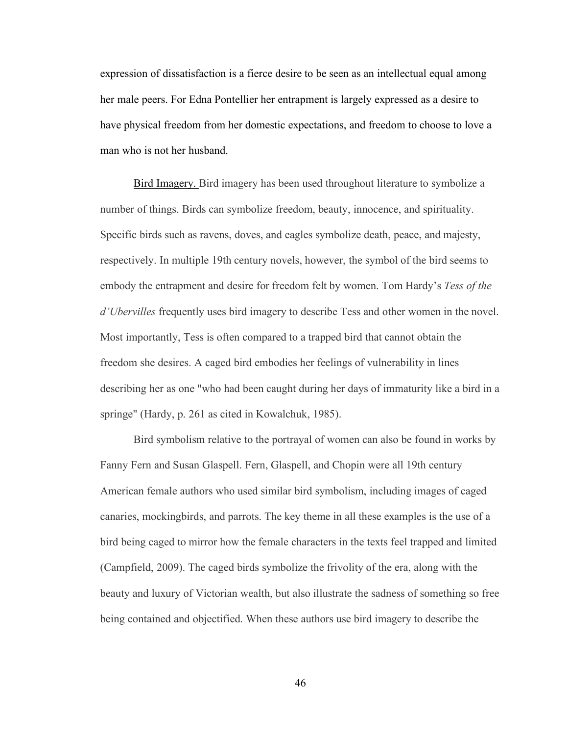expression of dissatisfaction is a fierce desire to be seen as an intellectual equal among her male peers. For Edna Pontellier her entrapment is largely expressed as a desire to have physical freedom from her domestic expectations, and freedom to choose to love a man who is not her husband.

Bird Imagery. Bird imagery has been used throughout literature to symbolize a number of things. Birds can symbolize freedom, beauty, innocence, and spirituality. Specific birds such as ravens, doves, and eagles symbolize death, peace, and majesty, respectively. In multiple 19th century novels, however, the symbol of the bird seems to embody the entrapment and desire for freedom felt by women. Tom Hardy's *Tess of the d'Ubervilles* frequently uses bird imagery to describe Tess and other women in the novel. Most importantly, Tess is often compared to a trapped bird that cannot obtain the freedom she desires. A caged bird embodies her feelings of vulnerability in lines describing her as one "who had been caught during her days of immaturity like a bird in a springe" (Hardy, p. 261 as cited in Kowalchuk, 1985).

Bird symbolism relative to the portrayal of women can also be found in works by Fanny Fern and Susan Glaspell. Fern, Glaspell, and Chopin were all 19th century American female authors who used similar bird symbolism, including images of caged canaries, mockingbirds, and parrots. The key theme in all these examples is the use of a bird being caged to mirror how the female characters in the texts feel trapped and limited (Campfield, 2009). The caged birds symbolize the frivolity of the era, along with the beauty and luxury of Victorian wealth, but also illustrate the sadness of something so free being contained and objectified. When these authors use bird imagery to describe the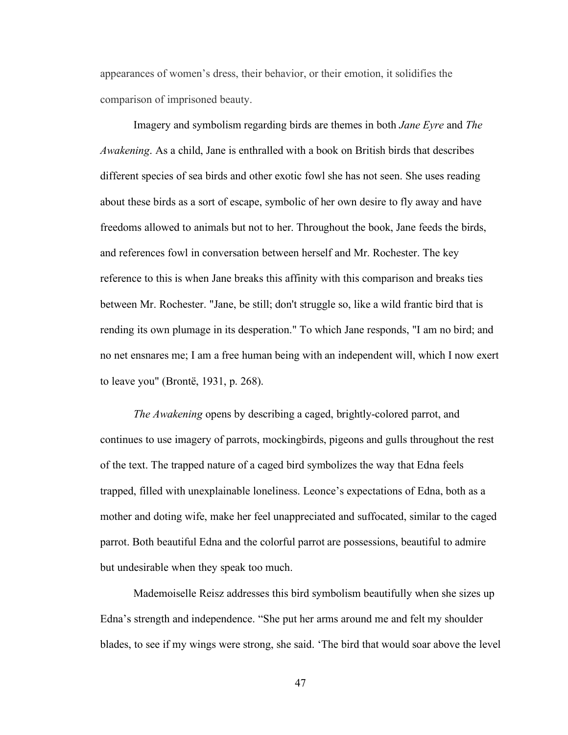appearances of women's dress, their behavior, or their emotion, it solidifies the comparison of imprisoned beauty.

Imagery and symbolism regarding birds are themes in both *Jane Eyre* and *The Awakening*. As a child, Jane is enthralled with a book on British birds that describes different species of sea birds and other exotic fowl she has not seen. She uses reading about these birds as a sort of escape, symbolic of her own desire to fly away and have freedoms allowed to animals but not to her. Throughout the book, Jane feeds the birds, and references fowl in conversation between herself and Mr. Rochester. The key reference to this is when Jane breaks this affinity with this comparison and breaks ties between Mr. Rochester. "Jane, be still; don't struggle so, like a wild frantic bird that is rending its own plumage in its desperation." To which Jane responds, "I am no bird; and no net ensnares me; I am a free human being with an independent will, which I now exert to leave you" (Brontë, 1931, p. 268).

*The Awakening* opens by describing a caged, brightly-colored parrot, and continues to use imagery of parrots, mockingbirds, pigeons and gulls throughout the rest of the text. The trapped nature of a caged bird symbolizes the way that Edna feels trapped, filled with unexplainable loneliness. Leonce's expectations of Edna, both as a mother and doting wife, make her feel unappreciated and suffocated, similar to the caged parrot. Both beautiful Edna and the colorful parrot are possessions, beautiful to admire but undesirable when they speak too much.

Mademoiselle Reisz addresses this bird symbolism beautifully when she sizes up Edna's strength and independence. "She put her arms around me and felt my shoulder blades, to see if my wings were strong, she said. 'The bird that would soar above the level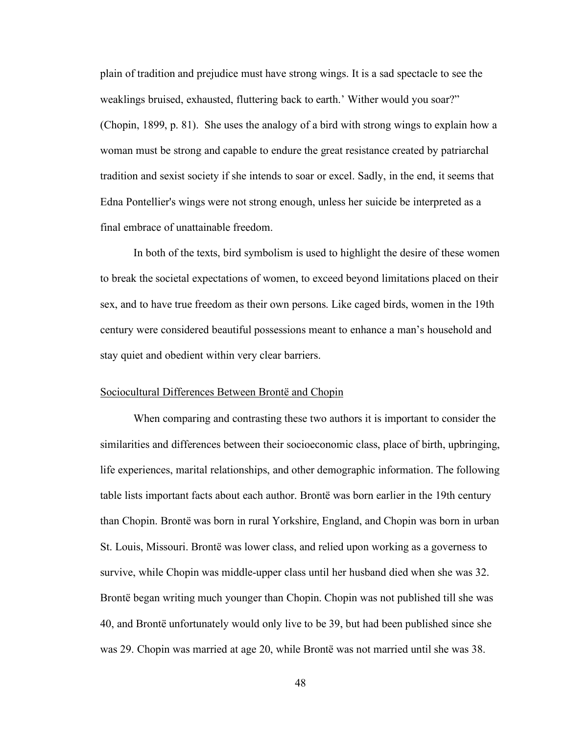plain of tradition and prejudice must have strong wings. It is a sad spectacle to see the weaklings bruised, exhausted, fluttering back to earth.' Wither would you soar?" (Chopin, 1899, p. 81). She uses the analogy of a bird with strong wings to explain how a woman must be strong and capable to endure the great resistance created by patriarchal tradition and sexist society if she intends to soar or excel. Sadly, in the end, it seems that Edna Pontellier's wings were not strong enough, unless her suicide be interpreted as a final embrace of unattainable freedom.

In both of the texts, bird symbolism is used to highlight the desire of these women to break the societal expectations of women, to exceed beyond limitations placed on their sex, and to have true freedom as their own persons. Like caged birds, women in the 19th century were considered beautiful possessions meant to enhance a man's household and stay quiet and obedient within very clear barriers.

#### Sociocultural Differences Between Brontë and Chopin

When comparing and contrasting these two authors it is important to consider the similarities and differences between their socioeconomic class, place of birth, upbringing, life experiences, marital relationships, and other demographic information. The following table lists important facts about each author. Brontë was born earlier in the 19th century than Chopin. Brontë was born in rural Yorkshire, England, and Chopin was born in urban St. Louis, Missouri. Brontë was lower class, and relied upon working as a governess to survive, while Chopin was middle-upper class until her husband died when she was 32. Brontë began writing much younger than Chopin. Chopin was not published till she was 40, and Brontë unfortunately would only live to be 39, but had been published since she was 29. Chopin was married at age 20, while Brontë was not married until she was 38.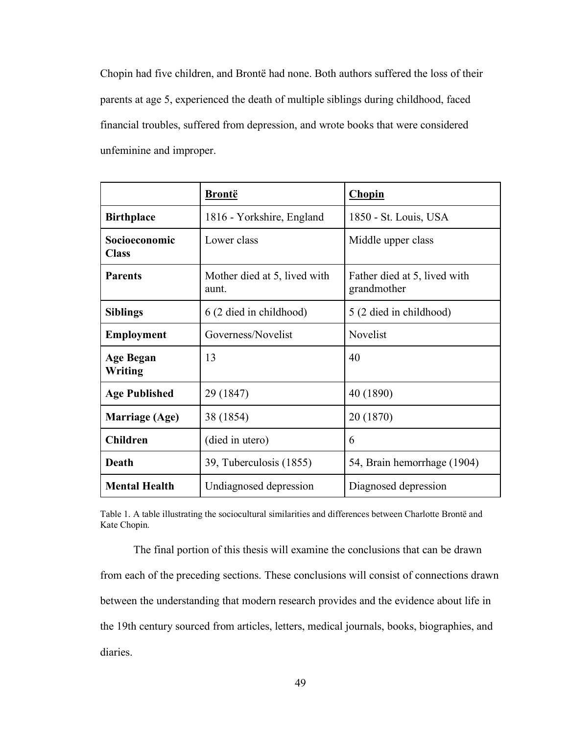Chopin had five children, and Brontë had none. Both authors suffered the loss of their parents at age 5, experienced the death of multiple siblings during childhood, faced financial troubles, suffered from depression, and wrote books that were considered unfeminine and improper.

|                               | <b>Brontë</b>                         | <b>Chopin</b>                               |  |
|-------------------------------|---------------------------------------|---------------------------------------------|--|
| <b>Birthplace</b>             | 1816 - Yorkshire, England             | 1850 - St. Louis, USA                       |  |
| Socioeconomic<br><b>Class</b> | Lower class                           | Middle upper class                          |  |
| <b>Parents</b>                | Mother died at 5, lived with<br>aunt. | Father died at 5, lived with<br>grandmother |  |
| <b>Siblings</b>               | 6 (2 died in childhood)               | 5 (2 died in childhood)                     |  |
| <b>Employment</b>             | Governess/Novelist                    | Novelist                                    |  |
| <b>Age Began</b><br>Writing   | 13                                    | 40                                          |  |
| <b>Age Published</b>          | 29 (1847)                             | 40 (1890)                                   |  |
| <b>Marriage (Age)</b>         | 38 (1854)                             | 20 (1870)                                   |  |
| <b>Children</b>               | (died in utero)                       | 6                                           |  |
| Death                         | 39, Tuberculosis (1855)               | 54, Brain hemorrhage (1904)                 |  |
| <b>Mental Health</b>          | Undiagnosed depression                | Diagnosed depression                        |  |

Table 1. A table illustrating the sociocultural similarities and differences between Charlotte Brontë and Kate Chopin.

The final portion of this thesis will examine the conclusions that can be drawn from each of the preceding sections. These conclusions will consist of connections drawn between the understanding that modern research provides and the evidence about life in the 19th century sourced from articles, letters, medical journals, books, biographies, and diaries.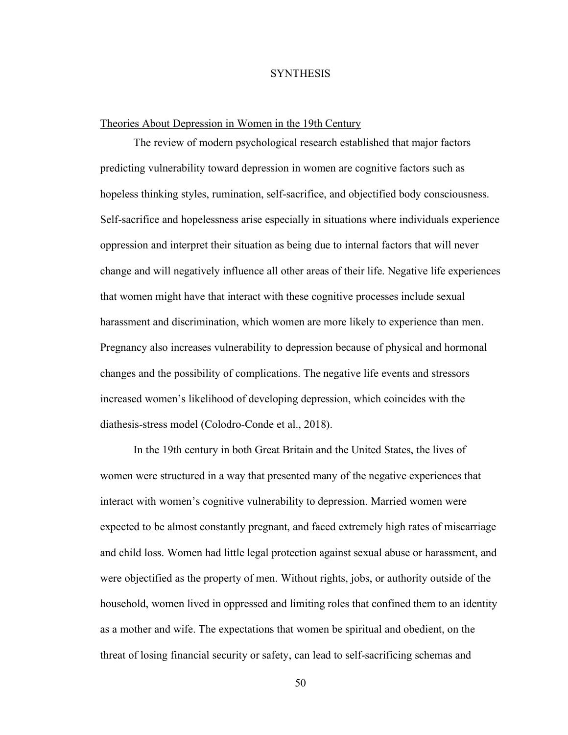#### **SYNTHESIS**

# Theories About Depression in Women in the 19th Century

The review of modern psychological research established that major factors predicting vulnerability toward depression in women are cognitive factors such as hopeless thinking styles, rumination, self-sacrifice, and objectified body consciousness. Self-sacrifice and hopelessness arise especially in situations where individuals experience oppression and interpret their situation as being due to internal factors that will never change and will negatively influence all other areas of their life. Negative life experiences that women might have that interact with these cognitive processes include sexual harassment and discrimination, which women are more likely to experience than men. Pregnancy also increases vulnerability to depression because of physical and hormonal changes and the possibility of complications. The negative life events and stressors increased women's likelihood of developing depression, which coincides with the diathesis-stress model (Colodro-Conde et al., 2018).

In the 19th century in both Great Britain and the United States, the lives of women were structured in a way that presented many of the negative experiences that interact with women's cognitive vulnerability to depression. Married women were expected to be almost constantly pregnant, and faced extremely high rates of miscarriage and child loss. Women had little legal protection against sexual abuse or harassment, and were objectified as the property of men. Without rights, jobs, or authority outside of the household, women lived in oppressed and limiting roles that confined them to an identity as a mother and wife. The expectations that women be spiritual and obedient, on the threat of losing financial security or safety, can lead to self-sacrificing schemas and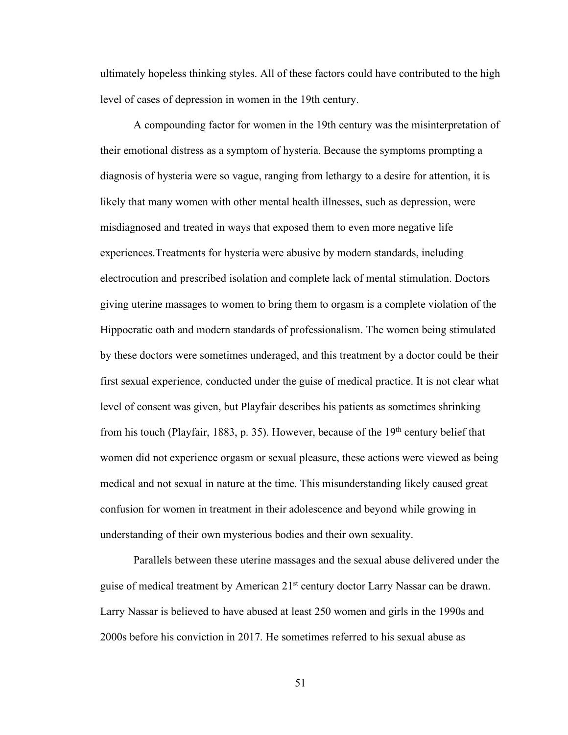ultimately hopeless thinking styles. All of these factors could have contributed to the high level of cases of depression in women in the 19th century.

A compounding factor for women in the 19th century was the misinterpretation of their emotional distress as a symptom of hysteria. Because the symptoms prompting a diagnosis of hysteria were so vague, ranging from lethargy to a desire for attention, it is likely that many women with other mental health illnesses, such as depression, were misdiagnosed and treated in ways that exposed them to even more negative life experiences.Treatments for hysteria were abusive by modern standards, including electrocution and prescribed isolation and complete lack of mental stimulation. Doctors giving uterine massages to women to bring them to orgasm is a complete violation of the Hippocratic oath and modern standards of professionalism. The women being stimulated by these doctors were sometimes underaged, and this treatment by a doctor could be their first sexual experience, conducted under the guise of medical practice. It is not clear what level of consent was given, but Playfair describes his patients as sometimes shrinking from his touch (Playfair, 1883, p. 35). However, because of the 19th century belief that women did not experience orgasm or sexual pleasure, these actions were viewed as being medical and not sexual in nature at the time. This misunderstanding likely caused great confusion for women in treatment in their adolescence and beyond while growing in understanding of their own mysterious bodies and their own sexuality.

Parallels between these uterine massages and the sexual abuse delivered under the guise of medical treatment by American 21<sup>st</sup> century doctor Larry Nassar can be drawn. Larry Nassar is believed to have abused at least 250 women and girls in the 1990s and 2000s before his conviction in 2017. He sometimes referred to his sexual abuse as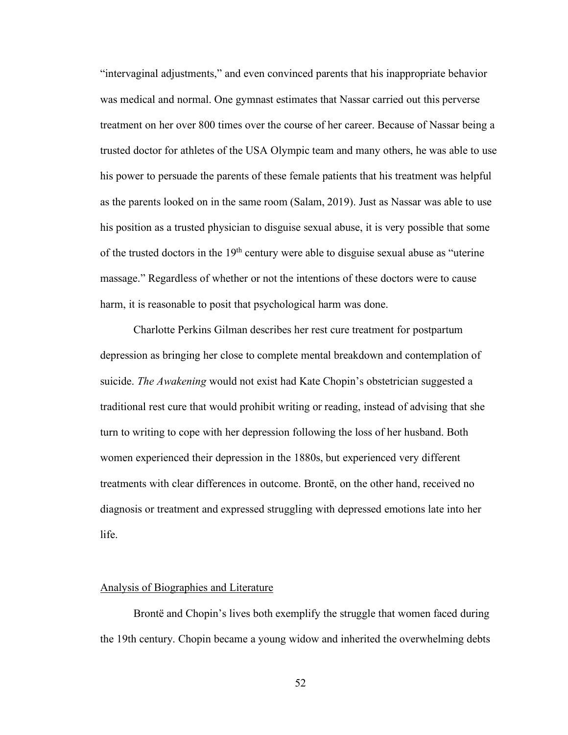"intervaginal adjustments," and even convinced parents that his inappropriate behavior was medical and normal. One gymnast estimates that Nassar carried out this perverse treatment on her over 800 times over the course of her career. Because of Nassar being a trusted doctor for athletes of the USA Olympic team and many others, he was able to use his power to persuade the parents of these female patients that his treatment was helpful as the parents looked on in the same room (Salam, 2019). Just as Nassar was able to use his position as a trusted physician to disguise sexual abuse, it is very possible that some of the trusted doctors in the  $19<sup>th</sup>$  century were able to disguise sexual abuse as "uterine" massage." Regardless of whether or not the intentions of these doctors were to cause harm, it is reasonable to posit that psychological harm was done.

Charlotte Perkins Gilman describes her rest cure treatment for postpartum depression as bringing her close to complete mental breakdown and contemplation of suicide. *The Awakening* would not exist had Kate Chopin's obstetrician suggested a traditional rest cure that would prohibit writing or reading, instead of advising that she turn to writing to cope with her depression following the loss of her husband. Both women experienced their depression in the 1880s, but experienced very different treatments with clear differences in outcome. Brontë, on the other hand, received no diagnosis or treatment and expressed struggling with depressed emotions late into her life.

#### Analysis of Biographies and Literature

Brontë and Chopin's lives both exemplify the struggle that women faced during the 19th century. Chopin became a young widow and inherited the overwhelming debts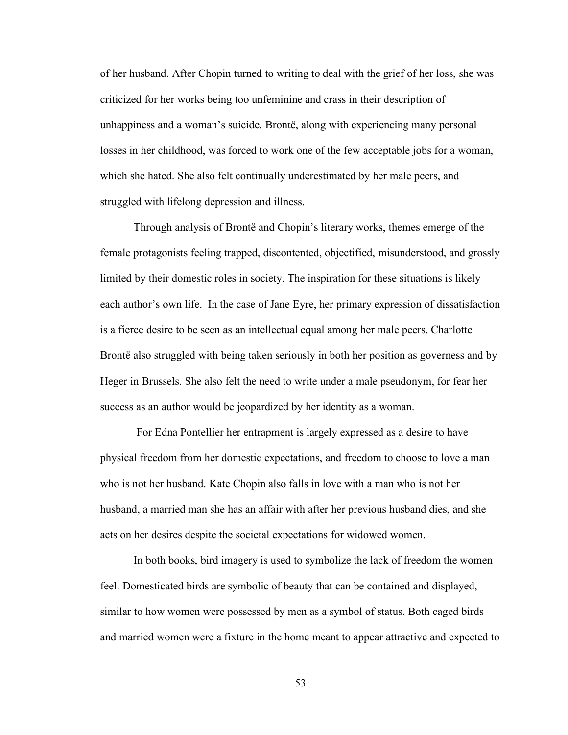of her husband. After Chopin turned to writing to deal with the grief of her loss, she was criticized for her works being too unfeminine and crass in their description of unhappiness and a woman's suicide. Brontë, along with experiencing many personal losses in her childhood, was forced to work one of the few acceptable jobs for a woman, which she hated. She also felt continually underestimated by her male peers, and struggled with lifelong depression and illness.

Through analysis of Brontë and Chopin's literary works, themes emerge of the female protagonists feeling trapped, discontented, objectified, misunderstood, and grossly limited by their domestic roles in society. The inspiration for these situations is likely each author's own life. In the case of Jane Eyre, her primary expression of dissatisfaction is a fierce desire to be seen as an intellectual equal among her male peers. Charlotte Brontë also struggled with being taken seriously in both her position as governess and by Heger in Brussels. She also felt the need to write under a male pseudonym, for fear her success as an author would be jeopardized by her identity as a woman.

For Edna Pontellier her entrapment is largely expressed as a desire to have physical freedom from her domestic expectations, and freedom to choose to love a man who is not her husband. Kate Chopin also falls in love with a man who is not her husband, a married man she has an affair with after her previous husband dies, and she acts on her desires despite the societal expectations for widowed women.

In both books, bird imagery is used to symbolize the lack of freedom the women feel. Domesticated birds are symbolic of beauty that can be contained and displayed, similar to how women were possessed by men as a symbol of status. Both caged birds and married women were a fixture in the home meant to appear attractive and expected to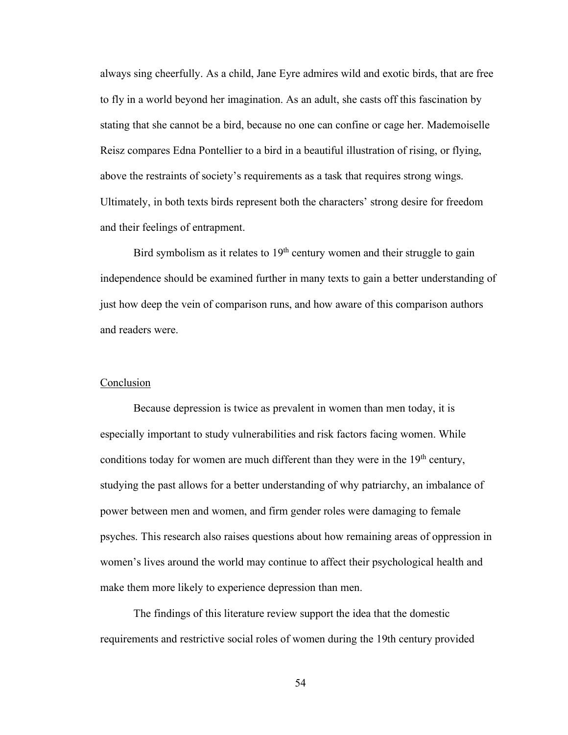always sing cheerfully. As a child, Jane Eyre admires wild and exotic birds, that are free to fly in a world beyond her imagination. As an adult, she casts off this fascination by stating that she cannot be a bird, because no one can confine or cage her. Mademoiselle Reisz compares Edna Pontellier to a bird in a beautiful illustration of rising, or flying, above the restraints of society's requirements as a task that requires strong wings. Ultimately, in both texts birds represent both the characters' strong desire for freedom and their feelings of entrapment.

Bird symbolism as it relates to  $19<sup>th</sup>$  century women and their struggle to gain independence should be examined further in many texts to gain a better understanding of just how deep the vein of comparison runs, and how aware of this comparison authors and readers were.

#### **Conclusion**

Because depression is twice as prevalent in women than men today, it is especially important to study vulnerabilities and risk factors facing women. While conditions today for women are much different than they were in the  $19<sup>th</sup>$  century, studying the past allows for a better understanding of why patriarchy, an imbalance of power between men and women, and firm gender roles were damaging to female psyches. This research also raises questions about how remaining areas of oppression in women's lives around the world may continue to affect their psychological health and make them more likely to experience depression than men.

The findings of this literature review support the idea that the domestic requirements and restrictive social roles of women during the 19th century provided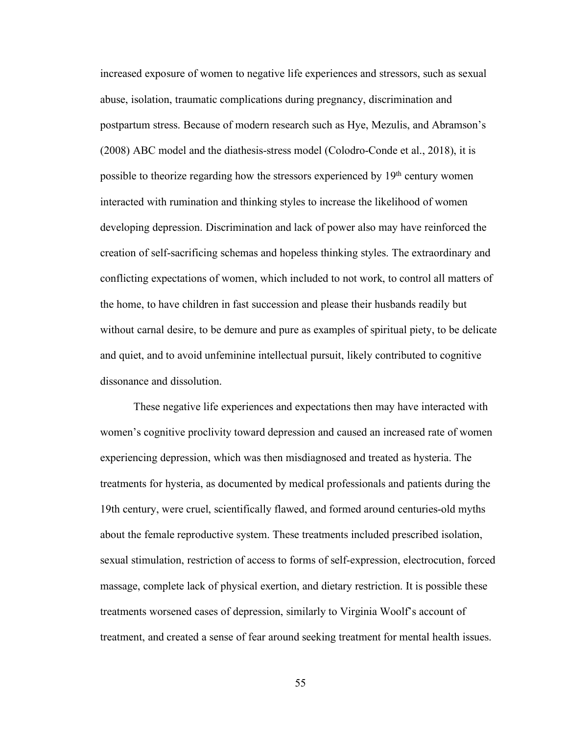increased exposure of women to negative life experiences and stressors, such as sexual abuse, isolation, traumatic complications during pregnancy, discrimination and postpartum stress. Because of modern research such as Hye, Mezulis, and Abramson's (2008) ABC model and the diathesis-stress model (Colodro-Conde et al., 2018), it is possible to theorize regarding how the stressors experienced by 19<sup>th</sup> century women interacted with rumination and thinking styles to increase the likelihood of women developing depression. Discrimination and lack of power also may have reinforced the creation of self-sacrificing schemas and hopeless thinking styles. The extraordinary and conflicting expectations of women, which included to not work, to control all matters of the home, to have children in fast succession and please their husbands readily but without carnal desire, to be demure and pure as examples of spiritual piety, to be delicate and quiet, and to avoid unfeminine intellectual pursuit, likely contributed to cognitive dissonance and dissolution.

These negative life experiences and expectations then may have interacted with women's cognitive proclivity toward depression and caused an increased rate of women experiencing depression, which was then misdiagnosed and treated as hysteria. The treatments for hysteria, as documented by medical professionals and patients during the 19th century, were cruel, scientifically flawed, and formed around centuries-old myths about the female reproductive system. These treatments included prescribed isolation, sexual stimulation, restriction of access to forms of self-expression, electrocution, forced massage, complete lack of physical exertion, and dietary restriction. It is possible these treatments worsened cases of depression, similarly to Virginia Woolf's account of treatment, and created a sense of fear around seeking treatment for mental health issues.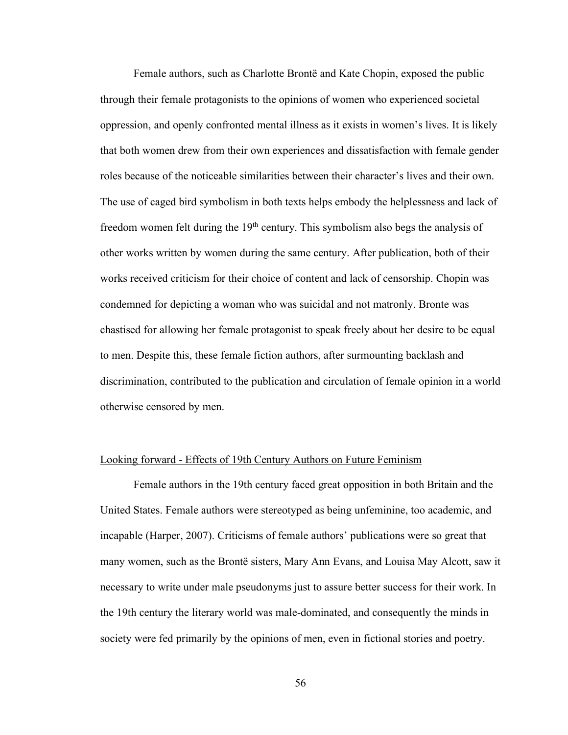Female authors, such as Charlotte Brontë and Kate Chopin, exposed the public through their female protagonists to the opinions of women who experienced societal oppression, and openly confronted mental illness as it exists in women's lives. It is likely that both women drew from their own experiences and dissatisfaction with female gender roles because of the noticeable similarities between their character's lives and their own. The use of caged bird symbolism in both texts helps embody the helplessness and lack of freedom women felt during the 19<sup>th</sup> century. This symbolism also begs the analysis of other works written by women during the same century. After publication, both of their works received criticism for their choice of content and lack of censorship. Chopin was condemned for depicting a woman who was suicidal and not matronly. Bronte was chastised for allowing her female protagonist to speak freely about her desire to be equal to men. Despite this, these female fiction authors, after surmounting backlash and discrimination, contributed to the publication and circulation of female opinion in a world otherwise censored by men.

## Looking forward - Effects of 19th Century Authors on Future Feminism

Female authors in the 19th century faced great opposition in both Britain and the United States. Female authors were stereotyped as being unfeminine, too academic, and incapable (Harper, 2007). Criticisms of female authors' publications were so great that many women, such as the Brontë sisters, Mary Ann Evans, and Louisa May Alcott, saw it necessary to write under male pseudonyms just to assure better success for their work. In the 19th century the literary world was male-dominated, and consequently the minds in society were fed primarily by the opinions of men, even in fictional stories and poetry.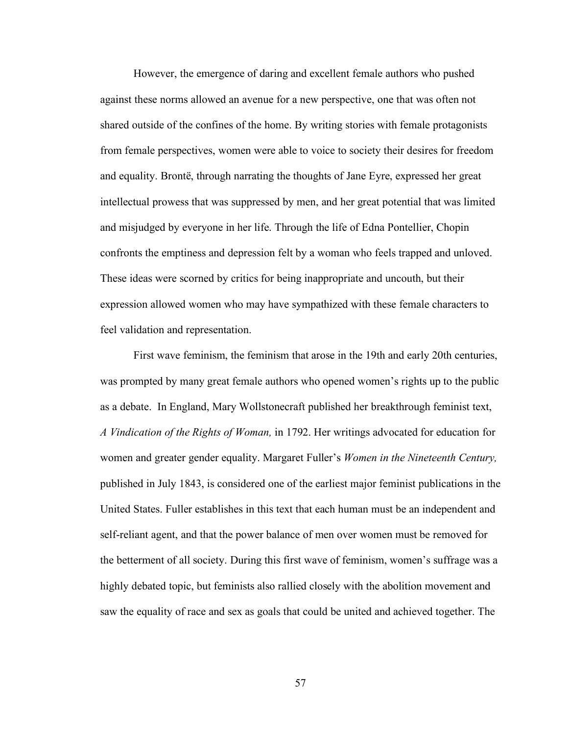However, the emergence of daring and excellent female authors who pushed against these norms allowed an avenue for a new perspective, one that was often not shared outside of the confines of the home. By writing stories with female protagonists from female perspectives, women were able to voice to society their desires for freedom and equality. Brontë, through narrating the thoughts of Jane Eyre, expressed her great intellectual prowess that was suppressed by men, and her great potential that was limited and misjudged by everyone in her life. Through the life of Edna Pontellier, Chopin confronts the emptiness and depression felt by a woman who feels trapped and unloved. These ideas were scorned by critics for being inappropriate and uncouth, but their expression allowed women who may have sympathized with these female characters to feel validation and representation.

First wave feminism, the feminism that arose in the 19th and early 20th centuries, was prompted by many great female authors who opened women's rights up to the public as a debate. In England, Mary Wollstonecraft published her breakthrough feminist text, *A Vindication of the Rights of Woman,* in 1792. Her writings advocated for education for women and greater gender equality. Margaret Fuller's *Women in the Nineteenth Century,*  published in July 1843, is considered one of the earliest major feminist publications in the United States. Fuller establishes in this text that each human must be an independent and self-reliant agent, and that the power balance of men over women must be removed for the betterment of all society. During this first wave of feminism, women's suffrage was a highly debated topic, but feminists also rallied closely with the abolition movement and saw the equality of race and sex as goals that could be united and achieved together. The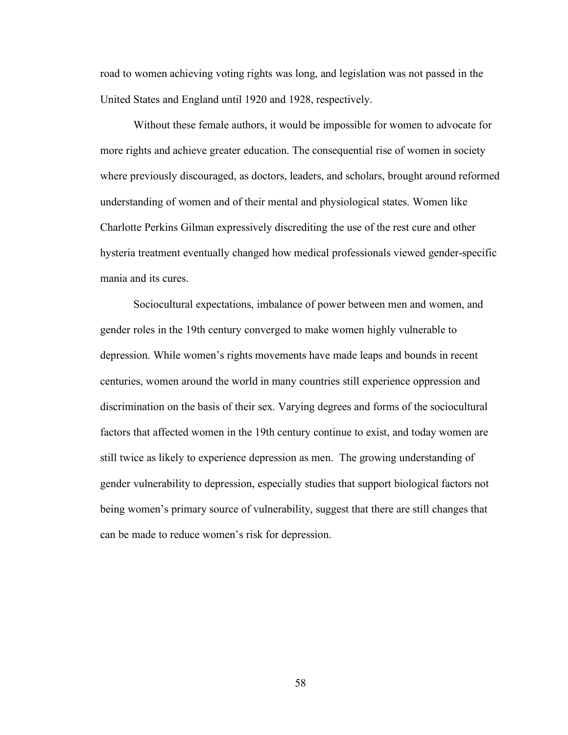road to women achieving voting rights was long, and legislation was not passed in the United States and England until 1920 and 1928, respectively.

Without these female authors, it would be impossible for women to advocate for more rights and achieve greater education. The consequential rise of women in society where previously discouraged, as doctors, leaders, and scholars, brought around reformed understanding of women and of their mental and physiological states. Women like Charlotte Perkins Gilman expressively discrediting the use of the rest cure and other hysteria treatment eventually changed how medical professionals viewed gender-specific mania and its cures.

Sociocultural expectations, imbalance of power between men and women, and gender roles in the 19th century converged to make women highly vulnerable to depression. While women's rights movements have made leaps and bounds in recent centuries, women around the world in many countries still experience oppression and discrimination on the basis of their sex. Varying degrees and forms of the sociocultural factors that affected women in the 19th century continue to exist, and today women are still twice as likely to experience depression as men. The growing understanding of gender vulnerability to depression, especially studies that support biological factors not being women's primary source of vulnerability, suggest that there are still changes that can be made to reduce women's risk for depression.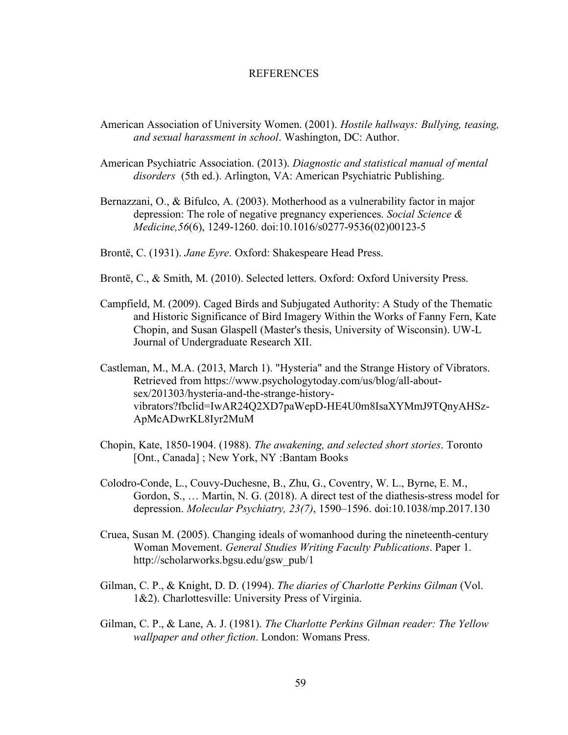#### **REFERENCES**

- American Association of University Women. (2001). *Hostile hallways: Bullying, teasing, and sexual harassment in school*. Washington, DC: Author.
- American Psychiatric Association. (2013). *Diagnostic and statistical manual of mental disorders* (5th ed.). Arlington, VA: American Psychiatric Publishing.
- Bernazzani, O., & Bifulco, A. (2003). Motherhood as a vulnerability factor in major depression: The role of negative pregnancy experiences. *Social Science & Medicine,56*(6), 1249-1260. doi:10.1016/s0277-9536(02)00123-5

Brontë, C. (1931). *Jane Eyre*. Oxford: Shakespeare Head Press.

- Brontë, C., & Smith, M. (2010). Selected letters. Oxford: Oxford University Press.
- Campfield, M. (2009). Caged Birds and Subjugated Authority: A Study of the Thematic and Historic Significance of Bird Imagery Within the Works of Fanny Fern, Kate Chopin, and Susan Glaspell (Master's thesis, University of Wisconsin). UW-L Journal of Undergraduate Research XII.
- Castleman, M., M.A. (2013, March 1). "Hysteria" and the Strange History of Vibrators. Retrieved from https://www.psychologytoday.com/us/blog/all-aboutsex/201303/hysteria-and-the-strange-historyvibrators?fbclid=IwAR24Q2XD7paWepD-HE4U0m8IsaXYMmJ9TQnyAHSz-ApMcADwrKL8Iyr2MuM
- Chopin, Kate, 1850-1904. (1988). *The awakening, and selected short stories*. Toronto [Ont., Canada]; New York, NY: Bantam Books
- Colodro-Conde, L., Couvy-Duchesne, B., Zhu, G., Coventry, W. L., Byrne, E. M., Gordon, S., … Martin, N. G. (2018). A direct test of the diathesis-stress model for depression. *Molecular Psychiatry, 23(7)*, 1590–1596. doi:10.1038/mp.2017.130
- Cruea, Susan M. (2005). Changing ideals of womanhood during the nineteenth-century Woman Movement. *General Studies Writing Faculty Publications*. Paper 1. http://scholarworks.bgsu.edu/gsw\_pub/1
- Gilman, C. P., & Knight, D. D. (1994). *The diaries of Charlotte Perkins Gilman* (Vol. 1&2). Charlottesville: University Press of Virginia.
- Gilman, C. P., & Lane, A. J. (1981). *The Charlotte Perkins Gilman reader: The Yellow wallpaper and other fiction*. London: Womans Press.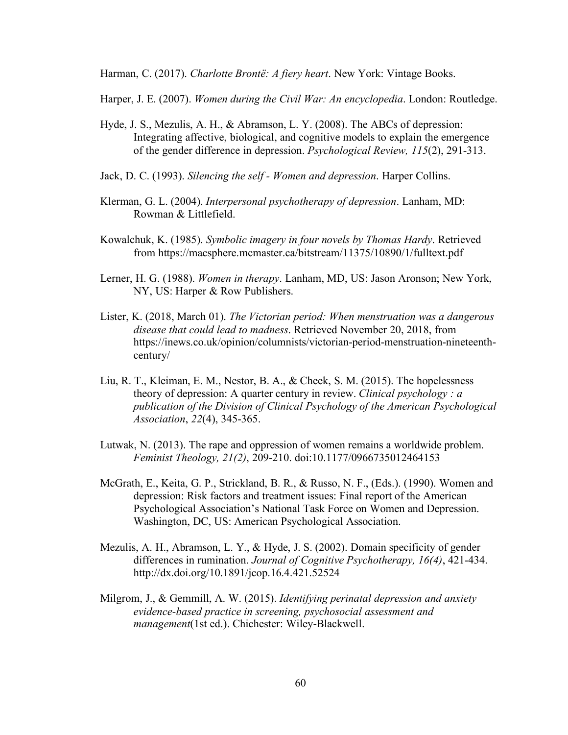Harman, C. (2017). *Charlotte Brontë: A fiery heart*. New York: Vintage Books.

Harper, J. E. (2007). *Women during the Civil War: An encyclopedia*. London: Routledge.

- Hyde, J. S., Mezulis, A. H., & Abramson, L. Y. (2008). The ABCs of depression: Integrating affective, biological, and cognitive models to explain the emergence of the gender difference in depression. *Psychological Review, 115*(2), 291-313.
- Jack, D. C. (1993). *Silencing the self - Women and depression*. Harper Collins.
- Klerman, G. L. (2004). *Interpersonal psychotherapy of depression*. Lanham, MD: Rowman & Littlefield.
- Kowalchuk, K. (1985). *Symbolic imagery in four novels by Thomas Hardy*. Retrieved from https://macsphere.mcmaster.ca/bitstream/11375/10890/1/fulltext.pdf
- Lerner, H. G. (1988). *Women in therapy*. Lanham, MD, US: Jason Aronson; New York, NY, US: Harper & Row Publishers.
- Lister, K. (2018, March 01). *The Victorian period: When menstruation was a dangerous disease that could lead to madness*. Retrieved November 20, 2018, from https://inews.co.uk/opinion/columnists/victorian-period-menstruation-nineteenthcentury/
- Liu, R. T., Kleiman, E. M., Nestor, B. A., & Cheek, S. M. (2015). The hopelessness theory of depression: A quarter century in review. *Clinical psychology : a publication of the Division of Clinical Psychology of the American Psychological Association*, *22*(4), 345-365.
- Lutwak, N. (2013). The rape and oppression of women remains a worldwide problem. *Feminist Theology, 21(2)*, 209-210. doi:10.1177/0966735012464153
- McGrath, E., Keita, G. P., Strickland, B. R., & Russo, N. F., (Eds.). (1990). Women and depression: Risk factors and treatment issues: Final report of the American Psychological Association's National Task Force on Women and Depression. Washington, DC, US: American Psychological Association.
- Mezulis, A. H., Abramson, L. Y., & Hyde, J. S. (2002). Domain specificity of gender differences in rumination. *Journal of Cognitive Psychotherapy, 16(4)*, 421-434. http://dx.doi.org/10.1891/jcop.16.4.421.52524
- Milgrom, J., & Gemmill, A. W. (2015). *Identifying perinatal depression and anxiety evidence-based practice in screening, psychosocial assessment and management*(1st ed.). Chichester: Wiley-Blackwell.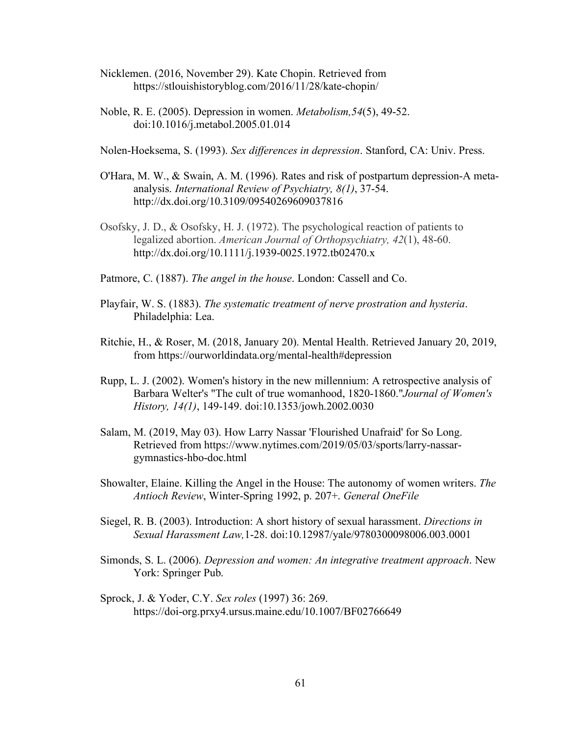- Nicklemen. (2016, November 29). Kate Chopin. Retrieved from https://stlouishistoryblog.com/2016/11/28/kate-chopin/
- Noble, R. E. (2005). Depression in women. *Metabolism,54*(5), 49-52. doi:10.1016/j.metabol.2005.01.014

Nolen-Hoeksema, S. (1993). *Sex differences in depression*. Stanford, CA: Univ. Press.

- O'Hara, M. W., & Swain, A. M. (1996). Rates and risk of postpartum depression-A metaanalysis. *International Review of Psychiatry, 8(1)*, 37-54. http://dx.doi.org/10.3109/09540269609037816
- Osofsky, J. D., & Osofsky, H. J. (1972). The psychological reaction of patients to legalized abortion. *American Journal of Orthopsychiatry, 42*(1), 48-60. http://dx.doi.org/10.1111/j.1939-0025.1972.tb02470.x
- Patmore, C. (1887). *The angel in the house*. London: Cassell and Co.
- Playfair, W. S. (1883). *The systematic treatment of nerve prostration and hysteria*. Philadelphia: Lea.
- Ritchie, H., & Roser, M. (2018, January 20). Mental Health. Retrieved January 20, 2019, from https://ourworldindata.org/mental-health#depression
- Rupp, L. J. (2002). Women's history in the new millennium: A retrospective analysis of Barbara Welter's "The cult of true womanhood, 1820-1860."*Journal of Women's History, 14(1)*, 149-149. doi:10.1353/jowh.2002.0030
- Salam, M. (2019, May 03). How Larry Nassar 'Flourished Unafraid' for So Long. Retrieved from https://www.nytimes.com/2019/05/03/sports/larry-nassargymnastics-hbo-doc.html
- Showalter, Elaine. Killing the Angel in the House: The autonomy of women writers. *The Antioch Review*, Winter-Spring 1992, p. 207+. *General OneFile*
- Siegel, R. B. (2003). Introduction: A short history of sexual harassment. *Directions in Sexual Harassment Law,*1-28. doi:10.12987/yale/9780300098006.003.0001
- Simonds, S. L. (2006). *Depression and women: An integrative treatment approach*. New York: Springer Pub.
- Sprock, J. & Yoder, C.Y. *Sex roles* (1997) 36: 269. https://doi-org.prxy4.ursus.maine.edu/10.1007/BF02766649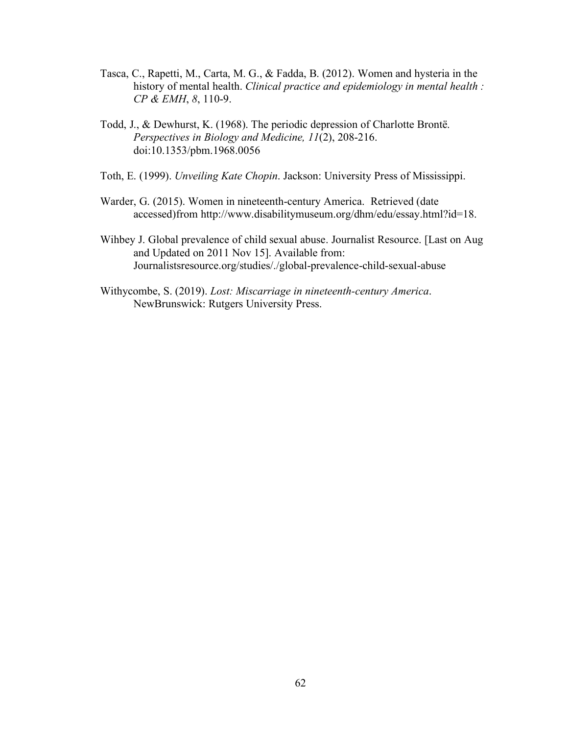- Tasca, C., Rapetti, M., Carta, M. G., & Fadda, B. (2012). Women and hysteria in the history of mental health. *Clinical practice and epidemiology in mental health : CP & EMH*, *8*, 110-9.
- Todd, J., & Dewhurst, K. (1968). The periodic depression of Charlotte Brontë. *Perspectives in Biology and Medicine, 11*(2), 208-216. doi:10.1353/pbm.1968.0056
- Toth, E. (1999). *Unveiling Kate Chopin*. Jackson: University Press of Mississippi.
- Warder, G. (2015). Women in nineteenth-century America. Retrieved (date accessed)from http://www.disabilitymuseum.org/dhm/edu/essay.html?id=18.
- Wihbey J. Global prevalence of child sexual abuse. Journalist Resource. [Last on Aug and Updated on 2011 Nov 15]. Available from: Journalistsresource.org/studies/./global-prevalence-child-sexual-abuse
- Withycombe, S. (2019). *Lost: Miscarriage in nineteenth-century America*. NewBrunswick: Rutgers University Press.